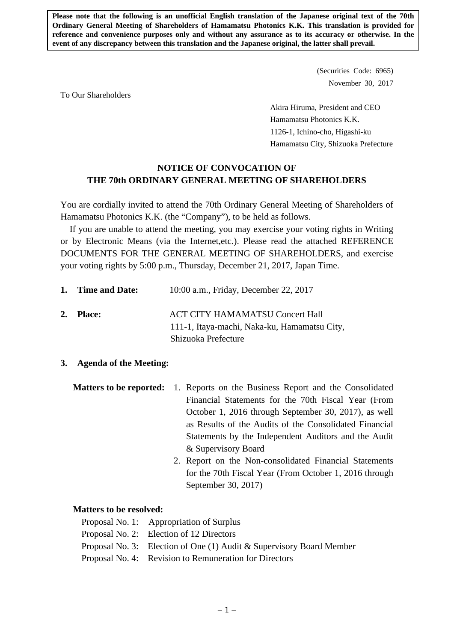**Please note that the following is an unofficial English translation of the Japanese original text of the 70th Ordinary General Meeting of Shareholders of Hamamatsu Photonics K.K. This translation is provided for reference and convenience purposes only and without any assurance as to its accuracy or otherwise. In the event of any discrepancy between this translation and the Japanese original, the latter shall prevail.** 

> (Securities Code: 6965) November 30, 2017

To Our Shareholders

 Akira Hiruma, President and CEO Hamamatsu Photonics K.K. 1126-1, Ichino-cho, Higashi-ku Hamamatsu City, Shizuoka Prefecture

## **NOTICE OF CONVOCATION OF THE 70th ORDINARY GENERAL MEETING OF SHAREHOLDERS**

You are cordially invited to attend the 70th Ordinary General Meeting of Shareholders of Hamamatsu Photonics K.K. (the "Company"), to be held as follows.

If you are unable to attend the meeting, you may exercise your voting rights in Writing or by Electronic Means (via the Internet,etc.). Please read the attached REFERENCE DOCUMENTS FOR THE GENERAL MEETING OF SHAREHOLDERS, and exercise your voting rights by 5:00 p.m., Thursday, December 21, 2017, Japan Time.

| 1. Time and Date: | 10:00 a.m., Friday, December 22, 2017                                                  |
|-------------------|----------------------------------------------------------------------------------------|
| 2. Place:         | <b>ACT CITY HAMAMATSU Concert Hall</b><br>111-1, Itaya-machi, Naka-ku, Hamamatsu City, |
|                   | Shizuoka Prefecture                                                                    |

## **3. Agenda of the Meeting:**

**Matters to be reported:** 1. Reports on the Business Report and the Consolidated Financial Statements for the 70th Fiscal Year (From October 1, 2016 through September 30, 2017), as well as Results of the Audits of the Consolidated Financial Statements by the Independent Auditors and the Audit & Supervisory Board

> 2. Report on the Non-consolidated Financial Statements for the 70th Fiscal Year (From October 1, 2016 through September 30, 2017)

### **Matters to be resolved:**

- Proposal No. 1: Appropriation of Surplus
- Proposal No. 2: Election of 12 Directors
- Proposal No. 3: Election of One (1) Audit & Supervisory Board Member
- Proposal No. 4: Revision to Remuneration for Directors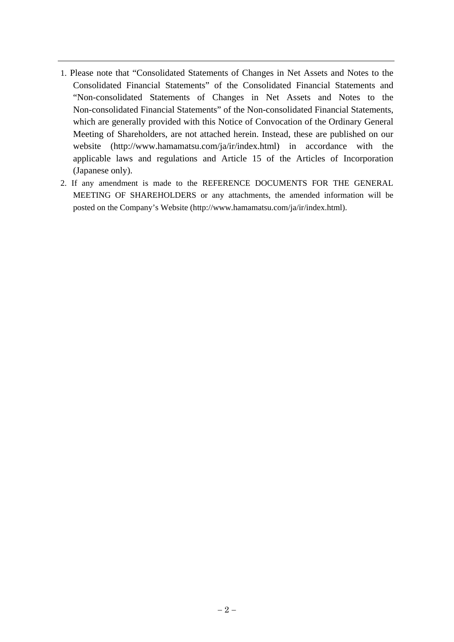- 1. Please note that "Consolidated Statements of Changes in Net Assets and Notes to the Consolidated Financial Statements" of the Consolidated Financial Statements and "Non-consolidated Statements of Changes in Net Assets and Notes to the Non-consolidated Financial Statements" of the Non-consolidated Financial Statements, which are generally provided with this Notice of Convocation of the Ordinary General Meeting of Shareholders, are not attached herein. Instead, these are published on our website (http://www.hamamatsu.com/ja/ir/index.html) in accordance with the applicable laws and regulations and Article 15 of the Articles of Incorporation (Japanese only).
- 2. If any amendment is made to the REFERENCE DOCUMENTS FOR THE GENERAL MEETING OF SHAREHOLDERS or any attachments, the amended information will be posted on the Company's Website (http://www.hamamatsu.com/ja/ir/index.html).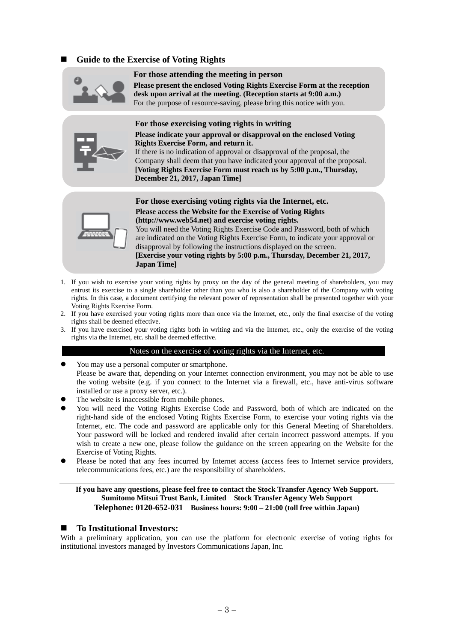### **Guide to the Exercise of Voting Rights**



#### **For those attending the meeting in person**

**Please present the enclosed Voting Rights Exercise Form at the reception desk upon arrival at the meeting. (Reception starts at 9:00 a.m.)**  For the purpose of resource-saving, please bring this notice with you.



**For those exercising voting rights in writing Please indicate your approval or disapproval on the enclosed Voting Rights Exercise Form, and return it.**  If there is no indication of approval or disapproval of the proposal, the

Company shall deem that you have indicated your approval of the proposal. **[Voting Rights Exercise Form must reach us by 5:00 p.m., Thursday, December 21, 2017, Japan Time]** 



**For those exercising voting rights via the Internet, etc. Please access the Website for the Exercise of Voting Rights (http://www.web54.net) and exercise voting rights.**  You will need the Voting Rights Exercise Code and Password, both of which are indicated on the Voting Rights Exercise Form, to indicate your approval or

disapproval by following the instructions displayed on the screen. **[Exercise your voting rights by 5:00 p.m., Thursday, December 21, 2017, Japan Time]** 

- 1. If you wish to exercise your voting rights by proxy on the day of the general meeting of shareholders, you may entrust its exercise to a single shareholder other than you who is also a shareholder of the Company with voting rights. In this case, a document certifying the relevant power of representation shall be presented together with your Voting Rights Exercise Form.
- 2. If you have exercised your voting rights more than once via the Internet, etc., only the final exercise of the voting rights shall be deemed effective.
- 3. If you have exercised your voting rights both in writing and via the Internet, etc., only the exercise of the voting rights via the Internet, etc. shall be deemed effective.

#### Notes on the exercise of voting rights via the Internet, etc.

- You may use a personal computer or smartphone. Please be aware that, depending on your Internet connection environment, you may not be able to use the voting website (e.g. if you connect to the Internet via a firewall, etc., have anti-virus software installed or use a proxy server, etc.).
- The website is inaccessible from mobile phones.
- You will need the Voting Rights Exercise Code and Password, both of which are indicated on the right-hand side of the enclosed Voting Rights Exercise Form, to exercise your voting rights via the Internet, etc. The code and password are applicable only for this General Meeting of Shareholders. Your password will be locked and rendered invalid after certain incorrect password attempts. If you wish to create a new one, please follow the guidance on the screen appearing on the Website for the Exercise of Voting Rights.
- Please be noted that any fees incurred by Internet access (access fees to Internet service providers, telecommunications fees, etc.) are the responsibility of shareholders.

#### **If you have any questions, please feel free to contact the Stock Transfer Agency Web Support. Sumitomo Mitsui Trust Bank, Limited Stock Transfer Agency Web Support Telephone: 0120-652-031 Business hours: 9:00 – 21:00 (toll free within Japan)**

#### **To Institutional Investors:**

With a preliminary application, you can use the platform for electronic exercise of voting rights for institutional investors managed by Investors Communications Japan, Inc.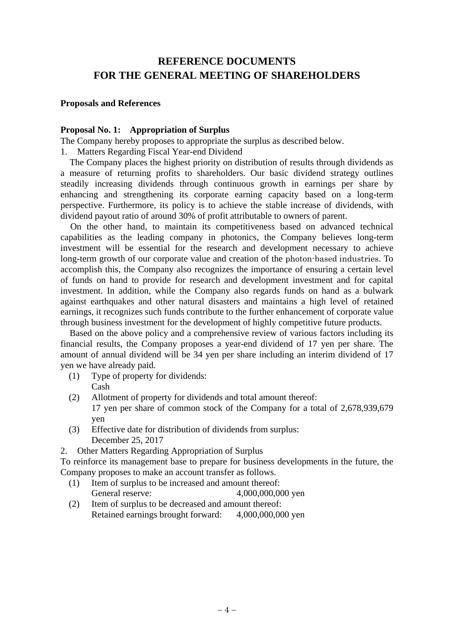# **REFERENCE DOCUMENTS FOR THE GENERAL MEETING OF SHAREHOLDERS**

### **Proposals and References**

### **Proposal No. 1: Appropriation of Surplus**

The Company hereby proposes to appropriate the surplus as described below.

1. Matters Regarding Fiscal Year-end Dividend

The Company places the highest priority on distribution of results through dividends as a measure of returning profits to shareholders. Our basic dividend strategy outlines steadily increasing dividends through continuous growth in earnings per share by enhancing and strengthening its corporate earning capacity based on a long-term perspective. Furthermore, its policy is to achieve the stable increase of dividends, with dividend payout ratio of around 30% of profit attributable to owners of parent.

On the other hand, to maintain its competitiveness based on advanced technical capabilities as the leading company in photonics, the Company believes long-term investment will be essential for the research and development necessary to achieve long-term growth of our corporate value and creation of the photon-based industries. To accomplish this, the Company also recognizes the importance of ensuring a certain level of funds on hand to provide for research and development investment and for capital investment. In addition, while the Company also regards funds on hand as a bulwark against earthquakes and other natural disasters and maintains a high level of retained earnings, it recognizes such funds contribute to the further enhancement of corporate value through business investment for the development of highly competitive future products.

Based on the above policy and a comprehensive review of various factors including its financial results, the Company proposes a year-end dividend of 17 yen per share. The amount of annual dividend will be 34 yen per share including an interim dividend of 17 yen we have already paid.

- (1) Type of property for dividends: Cash
- (2) Allotment of property for dividends and total amount thereof: 17 yen per share of common stock of the Company for a total of 2,678,939,679 yen
- (3) Effective date for distribution of dividends from surplus: December 25, 2017

2. Other Matters Regarding Appropriation of Surplus

To reinforce its management base to prepare for business developments in the future, the Company proposes to make an account transfer as follows.

- (1) Item of surplus to be increased and amount thereof: General reserve: 4,000,000,000 yen
- (2) Item of surplus to be decreased and amount thereof: Retained earnings brought forward: 4,000,000,000 yen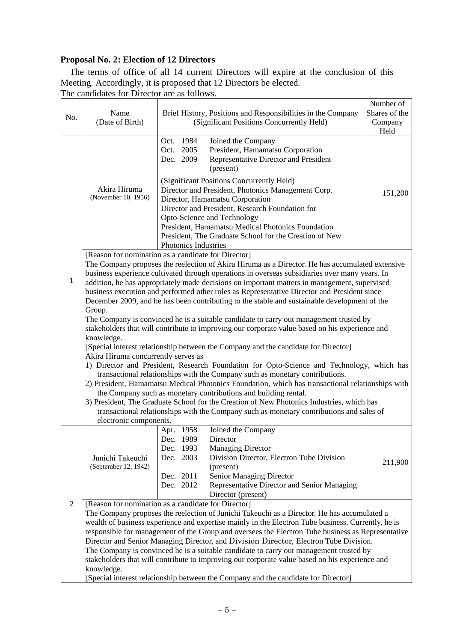# **Proposal No. 2: Election of 12 Directors**

The terms of office of all 14 current Directors will expire at the conclusion of this Meeting. Accordingly, it is proposed that 12 Directors be elected.

The candidates for Director are as follows.

| No.                                                                                                                                                                                                                                                                                                                                                                                                                                                                                                                                                                                                                                                                                                                                                                                                                                                                                                                                                                                                                                                                                                                                                                                                                                                                          | Name<br>(Date of Birth)                                                                                                                                                                                                                                                                                                                                                                                                                                                                                                                                                                                                                                                                                                                                | Brief History, Positions and Responsibilities in the Company<br>(Significant Positions Concurrently Held)                                                                                                                                                                                                                                                                                                                                                                                                                | Number of<br>Shares of the<br>Company<br>Held |  |  |  |
|------------------------------------------------------------------------------------------------------------------------------------------------------------------------------------------------------------------------------------------------------------------------------------------------------------------------------------------------------------------------------------------------------------------------------------------------------------------------------------------------------------------------------------------------------------------------------------------------------------------------------------------------------------------------------------------------------------------------------------------------------------------------------------------------------------------------------------------------------------------------------------------------------------------------------------------------------------------------------------------------------------------------------------------------------------------------------------------------------------------------------------------------------------------------------------------------------------------------------------------------------------------------------|--------------------------------------------------------------------------------------------------------------------------------------------------------------------------------------------------------------------------------------------------------------------------------------------------------------------------------------------------------------------------------------------------------------------------------------------------------------------------------------------------------------------------------------------------------------------------------------------------------------------------------------------------------------------------------------------------------------------------------------------------------|--------------------------------------------------------------------------------------------------------------------------------------------------------------------------------------------------------------------------------------------------------------------------------------------------------------------------------------------------------------------------------------------------------------------------------------------------------------------------------------------------------------------------|-----------------------------------------------|--|--|--|
|                                                                                                                                                                                                                                                                                                                                                                                                                                                                                                                                                                                                                                                                                                                                                                                                                                                                                                                                                                                                                                                                                                                                                                                                                                                                              | Akira Hiruma<br>(November 10, 1956)                                                                                                                                                                                                                                                                                                                                                                                                                                                                                                                                                                                                                                                                                                                    | 1984<br>Joined the Company<br>Oct.<br>2005<br>President, Hamamatsu Corporation<br>Oct.<br>Dec. 2009<br>Representative Director and President<br>(present)<br>(Significant Positions Concurrently Held)<br>Director and President, Photonics Management Corp.<br>Director, Hamamatsu Corporation<br>Director and President, Research Foundation for<br>Opto-Science and Technology<br>President, Hamamatsu Medical Photonics Foundation<br>President, The Graduate School for the Creation of New<br>Photonics Industries | 151,200                                       |  |  |  |
| [Reason for nomination as a candidate for Director]<br>The Company proposes the reelection of Akira Hiruma as a Director. He has accumulated extensive<br>business experience cultivated through operations in overseas subsidiaries over many years. In<br>$\mathbf{1}$<br>addition, he has appropriately made decisions on important matters in management, supervised<br>business execution and performed other roles as Representative Director and President since<br>December 2009, and he has been contributing to the stable and sustainable development of the<br>Group.<br>The Company is convinced he is a suitable candidate to carry out management trusted by<br>stakeholders that will contribute to improving our corporate value based on his experience and<br>knowledge.<br>[Special interest relationship between the Company and the candidate for Director]<br>Akira Hiruma concurrently serves as<br>1) Director and President, Research Foundation for Opto-Science and Technology, which has<br>transactional relationships with the Company such as monetary contributions.<br>2) President, Hamamatsu Medical Photonics Foundation, which has transactional relationships with<br>the Company such as monetary contributions and building rental. |                                                                                                                                                                                                                                                                                                                                                                                                                                                                                                                                                                                                                                                                                                                                                        |                                                                                                                                                                                                                                                                                                                                                                                                                                                                                                                          |                                               |  |  |  |
|                                                                                                                                                                                                                                                                                                                                                                                                                                                                                                                                                                                                                                                                                                                                                                                                                                                                                                                                                                                                                                                                                                                                                                                                                                                                              | 3) President, The Graduate School for the Creation of New Photonics Industries, which has<br>transactional relationships with the Company such as monetary contributions and sales of<br>electronic components.                                                                                                                                                                                                                                                                                                                                                                                                                                                                                                                                        |                                                                                                                                                                                                                                                                                                                                                                                                                                                                                                                          |                                               |  |  |  |
|                                                                                                                                                                                                                                                                                                                                                                                                                                                                                                                                                                                                                                                                                                                                                                                                                                                                                                                                                                                                                                                                                                                                                                                                                                                                              | Junichi Takeuchi<br>(September 12, 1942)                                                                                                                                                                                                                                                                                                                                                                                                                                                                                                                                                                                                                                                                                                               | Joined the Company<br>Apr. 1958<br>Dec. 1989<br>Director<br>Dec. 1993<br><b>Managing Director</b><br>Dec. 2003<br>Division Director, Electron Tube Division<br>(present)<br>Senior Managing Director<br>Dec. 2011<br>Dec. 2012<br>Representative Director and Senior Managing<br>Director (present)                                                                                                                                                                                                                      | 211,900                                       |  |  |  |
| $\overline{2}$                                                                                                                                                                                                                                                                                                                                                                                                                                                                                                                                                                                                                                                                                                                                                                                                                                                                                                                                                                                                                                                                                                                                                                                                                                                               | [Reason for nomination as a candidate for Director]<br>The Company proposes the reelection of Junichi Takeuchi as a Director. He has accumulated a<br>wealth of business experience and expertise mainly in the Electron Tube business. Currently, he is<br>responsible for management of the Group and oversees the Electron Tube business as Representative<br>Director and Senior Managing Director, and Division Director, Electron Tube Division.<br>The Company is convinced he is a suitable candidate to carry out management trusted by<br>stakeholders that will contribute to improving our corporate value based on his experience and<br>knowledge.<br>[Special interest relationship between the Company and the candidate for Director] |                                                                                                                                                                                                                                                                                                                                                                                                                                                                                                                          |                                               |  |  |  |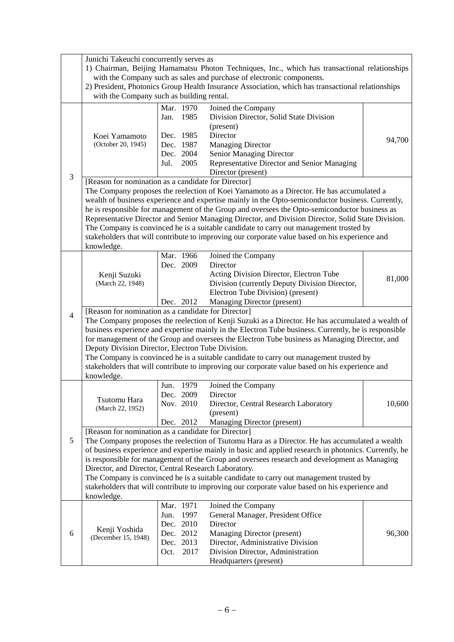|                | Junichi Takeuchi concurrently serves as                                                                                                                                                                 |                                                                                               |      |                                                                                                      |        |  |  |  |
|----------------|---------------------------------------------------------------------------------------------------------------------------------------------------------------------------------------------------------|-----------------------------------------------------------------------------------------------|------|------------------------------------------------------------------------------------------------------|--------|--|--|--|
|                | 1) Chairman, Beijing Hamamatsu Photon Techniques, Inc., which has transactional relationships                                                                                                           |                                                                                               |      |                                                                                                      |        |  |  |  |
|                | with the Company such as sales and purchase of electronic components.                                                                                                                                   |                                                                                               |      |                                                                                                      |        |  |  |  |
|                |                                                                                                                                                                                                         |                                                                                               |      | 2) President, Photonics Group Health Insurance Association, which has transactional relationships    |        |  |  |  |
|                | with the Company such as building rental.                                                                                                                                                               |                                                                                               |      |                                                                                                      |        |  |  |  |
|                |                                                                                                                                                                                                         | Mar. 1970                                                                                     |      | Joined the Company                                                                                   |        |  |  |  |
|                |                                                                                                                                                                                                         | Jan.                                                                                          | 1985 | Division Director, Solid State Division                                                              |        |  |  |  |
|                |                                                                                                                                                                                                         |                                                                                               |      | (present)                                                                                            |        |  |  |  |
|                | Koei Yamamoto                                                                                                                                                                                           | Dec. 1985                                                                                     |      | Director                                                                                             | 94,700 |  |  |  |
|                | (October 20, 1945)                                                                                                                                                                                      | Dec. 1987                                                                                     |      | <b>Managing Director</b>                                                                             |        |  |  |  |
|                |                                                                                                                                                                                                         | Dec. 2004                                                                                     |      | Senior Managing Director                                                                             |        |  |  |  |
|                |                                                                                                                                                                                                         | Jul.                                                                                          | 2005 | Representative Director and Senior Managing                                                          |        |  |  |  |
| 3              |                                                                                                                                                                                                         |                                                                                               |      | Director (present)                                                                                   |        |  |  |  |
|                | [Reason for nomination as a candidate for Director]                                                                                                                                                     |                                                                                               |      |                                                                                                      |        |  |  |  |
|                |                                                                                                                                                                                                         |                                                                                               |      | The Company proposes the reelection of Koei Yamamoto as a Director. He has accumulated a             |        |  |  |  |
|                |                                                                                                                                                                                                         |                                                                                               |      | wealth of business experience and expertise mainly in the Opto-semiconductor business. Currently,    |        |  |  |  |
|                |                                                                                                                                                                                                         |                                                                                               |      | he is responsible for management of the Group and oversees the Opto-semiconductor business as        |        |  |  |  |
|                |                                                                                                                                                                                                         |                                                                                               |      | Representative Director and Senior Managing Director, and Division Director, Solid State Division.   |        |  |  |  |
|                |                                                                                                                                                                                                         |                                                                                               |      | The Company is convinced he is a suitable candidate to carry out management trusted by               |        |  |  |  |
|                |                                                                                                                                                                                                         |                                                                                               |      | stakeholders that will contribute to improving our corporate value based on his experience and       |        |  |  |  |
|                | knowledge.                                                                                                                                                                                              | Mar. 1966                                                                                     |      | Joined the Company                                                                                   |        |  |  |  |
|                |                                                                                                                                                                                                         | Dec. 2009                                                                                     |      | Director                                                                                             |        |  |  |  |
|                | Kenji Suzuki                                                                                                                                                                                            |                                                                                               |      | Acting Division Director, Electron Tube                                                              |        |  |  |  |
|                | (March 22, 1948)                                                                                                                                                                                        |                                                                                               |      | Division (currently Deputy Division Director,                                                        | 81,000 |  |  |  |
|                |                                                                                                                                                                                                         |                                                                                               |      | Electron Tube Division) (present)                                                                    |        |  |  |  |
|                |                                                                                                                                                                                                         | Dec. 2012                                                                                     |      | Managing Director (present)                                                                          |        |  |  |  |
|                | [Reason for nomination as a candidate for Director]                                                                                                                                                     |                                                                                               |      |                                                                                                      |        |  |  |  |
| $\overline{4}$ |                                                                                                                                                                                                         |                                                                                               |      | The Company proposes the reelection of Kenji Suzuki as a Director. He has accumulated a wealth of    |        |  |  |  |
|                |                                                                                                                                                                                                         |                                                                                               |      | business experience and expertise mainly in the Electron Tube business. Currently, he is responsible |        |  |  |  |
|                |                                                                                                                                                                                                         | for management of the Group and oversees the Electron Tube business as Managing Director, and |      |                                                                                                      |        |  |  |  |
|                | Deputy Division Director, Electron Tube Division.                                                                                                                                                       |                                                                                               |      |                                                                                                      |        |  |  |  |
|                | The Company is convinced he is a suitable candidate to carry out management trusted by                                                                                                                  |                                                                                               |      |                                                                                                      |        |  |  |  |
|                |                                                                                                                                                                                                         |                                                                                               |      | stakeholders that will contribute to improving our corporate value based on his experience and       |        |  |  |  |
|                | knowledge.                                                                                                                                                                                              |                                                                                               |      |                                                                                                      |        |  |  |  |
|                |                                                                                                                                                                                                         | Jun.                                                                                          | 1979 | Joined the Company                                                                                   |        |  |  |  |
|                | Tsutomu Hara                                                                                                                                                                                            | Dec. 2009                                                                                     |      | Director                                                                                             |        |  |  |  |
|                | (March 22, 1952)                                                                                                                                                                                        | Nov. 2010                                                                                     |      | Director, Central Research Laboratory                                                                | 10,600 |  |  |  |
|                |                                                                                                                                                                                                         |                                                                                               |      | (present)                                                                                            |        |  |  |  |
|                |                                                                                                                                                                                                         | Dec. 2012                                                                                     |      | Managing Director (present)                                                                          |        |  |  |  |
| 5              | [Reason for nomination as a candidate for Director]                                                                                                                                                     |                                                                                               |      |                                                                                                      |        |  |  |  |
|                | The Company proposes the reelection of Tsutomu Hara as a Director. He has accumulated a wealth<br>of business experience and expertise mainly in basic and applied research in photonics. Currently, he |                                                                                               |      |                                                                                                      |        |  |  |  |
|                |                                                                                                                                                                                                         |                                                                                               |      | is responsible for management of the Group and oversees research and development as Managing         |        |  |  |  |
|                | Director, and Director, Central Research Laboratory.                                                                                                                                                    |                                                                                               |      |                                                                                                      |        |  |  |  |
|                |                                                                                                                                                                                                         |                                                                                               |      | The Company is convinced he is a suitable candidate to carry out management trusted by               |        |  |  |  |
|                |                                                                                                                                                                                                         |                                                                                               |      | stakeholders that will contribute to improving our corporate value based on his experience and       |        |  |  |  |
|                | knowledge.                                                                                                                                                                                              |                                                                                               |      |                                                                                                      |        |  |  |  |
|                |                                                                                                                                                                                                         | Mar. 1971                                                                                     |      | Joined the Company                                                                                   |        |  |  |  |
|                |                                                                                                                                                                                                         | Jun.                                                                                          | 1997 | General Manager, President Office                                                                    |        |  |  |  |
|                |                                                                                                                                                                                                         | Dec. 2010                                                                                     |      | Director                                                                                             |        |  |  |  |
| 6              | Kenji Yoshida                                                                                                                                                                                           | Dec. 2012                                                                                     |      | Managing Director (present)                                                                          | 96,300 |  |  |  |
|                | (December 15, 1948)                                                                                                                                                                                     | Dec. 2013                                                                                     |      | Director, Administrative Division                                                                    |        |  |  |  |
|                |                                                                                                                                                                                                         | Oct.                                                                                          | 2017 | Division Director, Administration                                                                    |        |  |  |  |
|                |                                                                                                                                                                                                         |                                                                                               |      | Headquarters (present)                                                                               |        |  |  |  |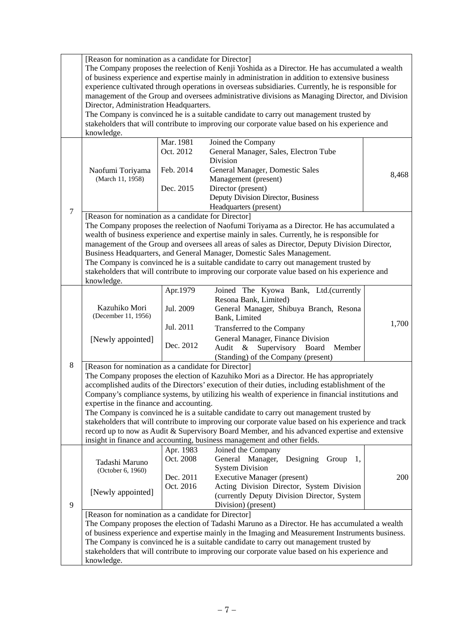|                                                                                                                                                                                                                                                                                                                                                                                                                                                                                                                                                                                                                                                                                                                                                                                        | [Reason for nomination as a candidate for Director]<br>The Company proposes the reelection of Kenji Yoshida as a Director. He has accumulated a wealth<br>of business experience and expertise mainly in administration in addition to extensive business<br>experience cultivated through operations in overseas subsidiaries. Currently, he is responsible for<br>management of the Group and oversees administrative divisions as Managing Director, and Division<br>Director, Administration Headquarters. |                                                  |                                                                                                                                                                                                                                                                                         |       |  |
|----------------------------------------------------------------------------------------------------------------------------------------------------------------------------------------------------------------------------------------------------------------------------------------------------------------------------------------------------------------------------------------------------------------------------------------------------------------------------------------------------------------------------------------------------------------------------------------------------------------------------------------------------------------------------------------------------------------------------------------------------------------------------------------|----------------------------------------------------------------------------------------------------------------------------------------------------------------------------------------------------------------------------------------------------------------------------------------------------------------------------------------------------------------------------------------------------------------------------------------------------------------------------------------------------------------|--------------------------------------------------|-----------------------------------------------------------------------------------------------------------------------------------------------------------------------------------------------------------------------------------------------------------------------------------------|-------|--|
|                                                                                                                                                                                                                                                                                                                                                                                                                                                                                                                                                                                                                                                                                                                                                                                        | The Company is convinced he is a suitable candidate to carry out management trusted by<br>stakeholders that will contribute to improving our corporate value based on his experience and                                                                                                                                                                                                                                                                                                                       |                                                  |                                                                                                                                                                                                                                                                                         |       |  |
|                                                                                                                                                                                                                                                                                                                                                                                                                                                                                                                                                                                                                                                                                                                                                                                        | knowledge.<br>Naofumi Toriyama<br>(March 11, 1958)                                                                                                                                                                                                                                                                                                                                                                                                                                                             | Mar. 1981<br>Oct. 2012<br>Feb. 2014<br>Dec. 2015 | Joined the Company<br>General Manager, Sales, Electron Tube<br>Division<br>General Manager, Domestic Sales<br>Management (present)<br>Director (present)<br>Deputy Division Director, Business<br>Headquarters (present)                                                                | 8,468 |  |
| $\tau$<br>[Reason for nomination as a candidate for Director]<br>The Company proposes the reelection of Naofumi Toriyama as a Director. He has accumulated a<br>wealth of business experience and expertise mainly in sales. Currently, he is responsible for<br>management of the Group and oversees all areas of sales as Director, Deputy Division Director,<br>Business Headquarters, and General Manager, Domestic Sales Management.<br>The Company is convinced he is a suitable candidate to carry out management trusted by<br>stakeholders that will contribute to improving our corporate value based on his experience and<br>knowledge.                                                                                                                                    |                                                                                                                                                                                                                                                                                                                                                                                                                                                                                                                |                                                  |                                                                                                                                                                                                                                                                                         |       |  |
|                                                                                                                                                                                                                                                                                                                                                                                                                                                                                                                                                                                                                                                                                                                                                                                        | Kazuhiko Mori<br>(December 11, 1956)<br>[Newly appointed]                                                                                                                                                                                                                                                                                                                                                                                                                                                      | Apr.1979<br>Jul. 2009<br>Jul. 2011<br>Dec. 2012  | Joined The Kyowa Bank, Ltd.(currently<br>Resona Bank, Limited)<br>General Manager, Shibuya Branch, Resona<br>Bank, Limited<br>Transferred to the Company<br>General Manager, Finance Division<br>Supervisory<br>Board<br>Audit<br>$\&$<br>Member<br>(Standing) of the Company (present) | 1,700 |  |
| 8<br>[Reason for nomination as a candidate for Director]<br>The Company proposes the election of Kazuhiko Mori as a Director. He has appropriately<br>accomplished audits of the Directors' execution of their duties, including establishment of the<br>Company's compliance systems, by utilizing his wealth of experience in financial institutions and<br>expertise in the finance and accounting.<br>The Company is convinced he is a suitable candidate to carry out management trusted by<br>stakeholders that will contribute to improving our corporate value based on his experience and track<br>record up to now as Audit & Supervisory Board Member, and his advanced expertise and extensive<br>insight in finance and accounting, business management and other fields. |                                                                                                                                                                                                                                                                                                                                                                                                                                                                                                                |                                                  |                                                                                                                                                                                                                                                                                         |       |  |
| 9                                                                                                                                                                                                                                                                                                                                                                                                                                                                                                                                                                                                                                                                                                                                                                                      | Tadashi Maruno<br>(October 6, 1960)<br>[Newly appointed]                                                                                                                                                                                                                                                                                                                                                                                                                                                       | Apr. 1983<br>Oct. 2008<br>Dec. 2011<br>Oct. 2016 | Joined the Company<br>Designing<br>General Manager,<br>Group<br>1.<br><b>System Division</b><br><b>Executive Manager (present)</b><br>Acting Division Director, System Division<br>(currently Deputy Division Director, System<br>Division) (present)                                   | 200   |  |
|                                                                                                                                                                                                                                                                                                                                                                                                                                                                                                                                                                                                                                                                                                                                                                                        | [Reason for nomination as a candidate for Director]<br>The Company proposes the election of Tadashi Maruno as a Director. He has accumulated a wealth<br>of business experience and expertise mainly in the Imaging and Measurement Instruments business.<br>The Company is convinced he is a suitable candidate to carry out management trusted by<br>stakeholders that will contribute to improving our corporate value based on his experience and<br>knowledge.                                            |                                                  |                                                                                                                                                                                                                                                                                         |       |  |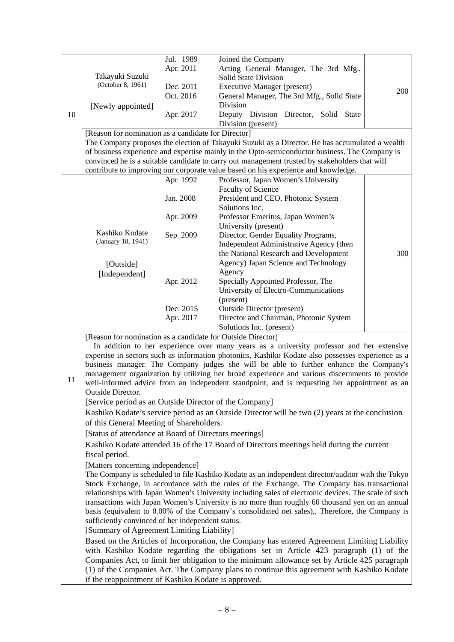|    |                                                             | Jul. 1989 | Joined the Company                                                                                                                                                                   |     |  |
|----|-------------------------------------------------------------|-----------|--------------------------------------------------------------------------------------------------------------------------------------------------------------------------------------|-----|--|
|    |                                                             | Apr. 2011 | Acting General Manager, The 3rd Mfg.,                                                                                                                                                |     |  |
|    | Takayuki Suzuki                                             |           | <b>Solid State Division</b>                                                                                                                                                          |     |  |
|    | (October 8, 1961)                                           | Dec. 2011 | <b>Executive Manager (present)</b>                                                                                                                                                   |     |  |
|    |                                                             | Oct. 2016 | General Manager, The 3rd Mfg., Solid State                                                                                                                                           | 200 |  |
|    | [Newly appointed]                                           |           | Division                                                                                                                                                                             |     |  |
| 10 |                                                             | Apr. 2017 | Deputy Division Director, Solid State                                                                                                                                                |     |  |
|    |                                                             |           | Division (present)                                                                                                                                                                   |     |  |
|    | [Reason for nomination as a candidate for Director]         |           |                                                                                                                                                                                      |     |  |
|    |                                                             |           | The Company proposes the election of Takayuki Suzuki as a Director. He has accumulated a wealth                                                                                      |     |  |
|    |                                                             |           | of business experience and expertise mainly in the Opto-semiconductor business. The Company is                                                                                       |     |  |
|    |                                                             |           |                                                                                                                                                                                      |     |  |
|    |                                                             |           | convinced he is a suitable candidate to carry out management trusted by stakeholders that will<br>contribute to improving our corporate value based on his experience and knowledge. |     |  |
|    |                                                             |           |                                                                                                                                                                                      |     |  |
|    |                                                             | Apr. 1992 | Professor, Japan Women's University                                                                                                                                                  |     |  |
|    |                                                             |           | <b>Faculty of Science</b>                                                                                                                                                            |     |  |
|    |                                                             | Jan. 2008 | President and CEO, Photonic System                                                                                                                                                   |     |  |
|    |                                                             |           | Solutions Inc.                                                                                                                                                                       |     |  |
|    |                                                             | Apr. 2009 | Professor Emeritus, Japan Women's                                                                                                                                                    |     |  |
|    |                                                             |           | University (present)                                                                                                                                                                 |     |  |
|    | Kashiko Kodate<br>(January 18, 1941)                        | Sep. 2009 | Director, Gender Equality Programs,                                                                                                                                                  |     |  |
|    |                                                             |           | Independent Administrative Agency (then                                                                                                                                              |     |  |
|    |                                                             |           | the National Research and Development                                                                                                                                                | 300 |  |
|    | [Outside]                                                   |           | Agency) Japan Science and Technology                                                                                                                                                 |     |  |
|    | [Independent]                                               |           | Agency                                                                                                                                                                               |     |  |
|    |                                                             | Apr. 2012 | Specially Appointed Professor, The                                                                                                                                                   |     |  |
|    |                                                             |           | University of Electro-Communications                                                                                                                                                 |     |  |
|    |                                                             |           | (present)                                                                                                                                                                            |     |  |
|    |                                                             | Dec. 2015 | <b>Outside Director (present)</b>                                                                                                                                                    |     |  |
|    |                                                             | Apr. 2017 | Director and Chairman, Photonic System                                                                                                                                               |     |  |
|    |                                                             |           | Solutions Inc. (present)                                                                                                                                                             |     |  |
|    | [Reason for nomination as a candidate for Outside Director] |           |                                                                                                                                                                                      |     |  |
|    |                                                             |           | In addition to her experience over many years as a university professor and her extensive                                                                                            |     |  |
|    |                                                             |           | expertise in sectors such as information photonics, Kashiko Kodate also possesses experience as a                                                                                    |     |  |
|    |                                                             |           | business manager. The Company judges she will be able to further enhance the Company's                                                                                               |     |  |
|    |                                                             |           | management organization by utilizing her broad experience and various discernments to provide                                                                                        |     |  |
| 11 |                                                             |           | well-informed advice from an independent standpoint, and is requesting her appointment as an                                                                                         |     |  |
|    | <b>Outside Director.</b>                                    |           |                                                                                                                                                                                      |     |  |
|    | [Service period as an Outside Director of the Company]      |           |                                                                                                                                                                                      |     |  |
|    |                                                             |           | Kashiko Kodate's service period as an Outside Director will be two (2) years at the conclusion                                                                                       |     |  |
|    | of this General Meeting of Shareholders.                    |           |                                                                                                                                                                                      |     |  |
|    |                                                             |           |                                                                                                                                                                                      |     |  |
|    | [Status of attendance at Board of Directors meetings]       |           |                                                                                                                                                                                      |     |  |
|    |                                                             |           | Kashiko Kodate attended 16 of the 17 Board of Directors meetings held during the current                                                                                             |     |  |
|    | fiscal period.                                              |           |                                                                                                                                                                                      |     |  |
|    | [Matters concerning independence]                           |           |                                                                                                                                                                                      |     |  |
|    |                                                             |           | The Company is scheduled to file Kashiko Kodate as an independent director/auditor with the Tokyo                                                                                    |     |  |
|    |                                                             |           | Stock Exchange, in accordance with the rules of the Exchange. The Company has transactional                                                                                          |     |  |
|    |                                                             |           | relationships with Japan Women's University including sales of electronic devices. The scale of such                                                                                 |     |  |
|    |                                                             |           | transactions with Japan Women's University is no more than roughly 60 thousand yen on an annual                                                                                      |     |  |
|    |                                                             |           | basis (equivalent to 0.00% of the Company's consolidated net sales),. Therefore, the Company is                                                                                      |     |  |
|    | sufficiently convinced of her independent status.           |           |                                                                                                                                                                                      |     |  |
|    | [Summary of Agreement Limiting Liability]                   |           |                                                                                                                                                                                      |     |  |
|    |                                                             |           | Based on the Articles of Incorporation, the Company has entered Agreement Limiting Liability                                                                                         |     |  |
|    |                                                             |           | with Kashiko Kodate regarding the obligations set in Article 423 paragraph (1) of the                                                                                                |     |  |
|    |                                                             |           | Companies Act, to limit her obligation to the minimum allowance set by Article 425 paragraph                                                                                         |     |  |
|    |                                                             |           | (1) of the Companies Act. The Company plans to continue this agreement with Kashiko Kodate                                                                                           |     |  |
|    | if the reappointment of Kashiko Kodate is approved.         |           |                                                                                                                                                                                      |     |  |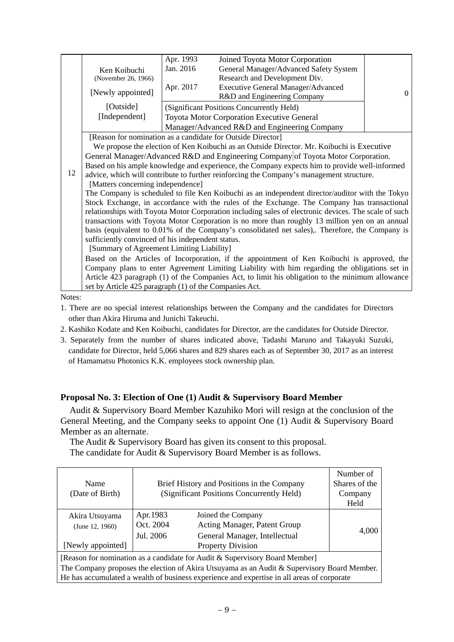|                                                                                                                                     |                                                                                                      | Apr. 1993 | Joined Toyota Motor Corporation                                                                  |   |  |  |
|-------------------------------------------------------------------------------------------------------------------------------------|------------------------------------------------------------------------------------------------------|-----------|--------------------------------------------------------------------------------------------------|---|--|--|
|                                                                                                                                     | Ken Koibuchi                                                                                         | Jan. 2016 | General Manager/Advanced Safety System                                                           |   |  |  |
|                                                                                                                                     | (November 26, 1966)                                                                                  |           | Research and Development Div.                                                                    |   |  |  |
|                                                                                                                                     | [Newly appointed]                                                                                    | Apr. 2017 | <b>Executive General Manager/Advanced</b>                                                        | 0 |  |  |
|                                                                                                                                     |                                                                                                      |           | R&D and Engineering Company                                                                      |   |  |  |
|                                                                                                                                     | [Outside]                                                                                            |           | (Significant Positions Concurrently Held)                                                        |   |  |  |
|                                                                                                                                     | [Independent]                                                                                        |           | Toyota Motor Corporation Executive General                                                       |   |  |  |
|                                                                                                                                     |                                                                                                      |           | Manager/Advanced R&D and Engineering Company                                                     |   |  |  |
|                                                                                                                                     |                                                                                                      |           | [Reason for nomination as a candidate for Outside Director]                                      |   |  |  |
|                                                                                                                                     | We propose the election of Ken Koibuchi as an Outside Director. Mr. Koibuchi is Executive            |           |                                                                                                  |   |  |  |
|                                                                                                                                     | General Manager/Advanced R&D and Engineering Company of Toyota Motor Corporation.                    |           |                                                                                                  |   |  |  |
|                                                                                                                                     | Based on his ample knowledge and experience, the Company expects him to provide well-informed        |           |                                                                                                  |   |  |  |
| 12<br>advice, which will contribute to further reinforcing the Company's management structure.<br>[Matters concerning independence] |                                                                                                      |           |                                                                                                  |   |  |  |
|                                                                                                                                     |                                                                                                      |           |                                                                                                  |   |  |  |
|                                                                                                                                     |                                                                                                      |           | The Company is scheduled to file Ken Koibuchi as an independent director/auditor with the Tokyo  |   |  |  |
|                                                                                                                                     |                                                                                                      |           | Stock Exchange, in accordance with the rules of the Exchange. The Company has transactional      |   |  |  |
|                                                                                                                                     | relationships with Toyota Motor Corporation including sales of electronic devices. The scale of such |           |                                                                                                  |   |  |  |
|                                                                                                                                     |                                                                                                      |           | transactions with Toyota Motor Corporation is no more than roughly 13 million yen on an annual   |   |  |  |
|                                                                                                                                     |                                                                                                      |           | basis (equivalent to 0.01% of the Company's consolidated net sales),. Therefore, the Company is  |   |  |  |
|                                                                                                                                     | sufficiently convinced of his independent status.                                                    |           |                                                                                                  |   |  |  |
|                                                                                                                                     | [Summary of Agreement Limiting Liability]                                                            |           |                                                                                                  |   |  |  |
|                                                                                                                                     |                                                                                                      |           | Based on the Articles of Incorporation, if the appointment of Ken Koibuchi is approved, the      |   |  |  |
|                                                                                                                                     |                                                                                                      |           | Company plans to enter Agreement Limiting Liability with him regarding the obligations set in    |   |  |  |
|                                                                                                                                     |                                                                                                      |           | Article 423 paragraph (1) of the Companies Act, to limit his obligation to the minimum allowance |   |  |  |
|                                                                                                                                     | set by Article 425 paragraph (1) of the Companies Act.                                               |           |                                                                                                  |   |  |  |

Notes:

- 1. There are no special interest relationships between the Company and the candidates for Directors other than Akira Hiruma and Junichi Takeuchi.
- 2. Kashiko Kodate and Ken Koibuchi, candidates for Director, are the candidates for Outside Director.
- 3. Separately from the number of shares indicated above, Tadashi Maruno and Takayuki Suzuki, candidate for Director, held 5,066 shares and 829 shares each as of September 30, 2017 as an interest of Hamamatsu Photonics K.K. employees stock ownership plan.

## **Proposal No. 3: Election of One (1) Audit & Supervisory Board Member**

Audit & Supervisory Board Member Kazuhiko Mori will resign at the conclusion of the General Meeting, and the Company seeks to appoint One (1) Audit & Supervisory Board Member as an alternate.

The Audit & Supervisory Board has given its consent to this proposal. The candidate for Audit & Supervisory Board Member is as follows.

|                                                                                             |                                            |                                                                                            | Number of     |  |  |
|---------------------------------------------------------------------------------------------|--------------------------------------------|--------------------------------------------------------------------------------------------|---------------|--|--|
| Name                                                                                        | Brief History and Positions in the Company |                                                                                            | Shares of the |  |  |
| (Date of Birth)                                                                             |                                            | (Significant Positions Concurrently Held)                                                  |               |  |  |
|                                                                                             |                                            |                                                                                            | Held          |  |  |
| Akira Utsuyama                                                                              | Apr. 1983                                  | Joined the Company                                                                         |               |  |  |
| (June 12, 1960)                                                                             | Oct. 2004                                  | Acting Manager, Patent Group                                                               |               |  |  |
|                                                                                             | Jul. 2006                                  | General Manager, Intellectual                                                              | 4,000         |  |  |
| [Newly appointed]                                                                           |                                            | <b>Property Division</b>                                                                   |               |  |  |
| [Reason for nomination as a candidate for Audit & Supervisory Board Member]                 |                                            |                                                                                            |               |  |  |
| The Company proposes the election of Akira Utsuyama as an Audit & Supervisory Board Member. |                                            |                                                                                            |               |  |  |
|                                                                                             |                                            | He has accumulated a wealth of business experience and expertise in all areas of corporate |               |  |  |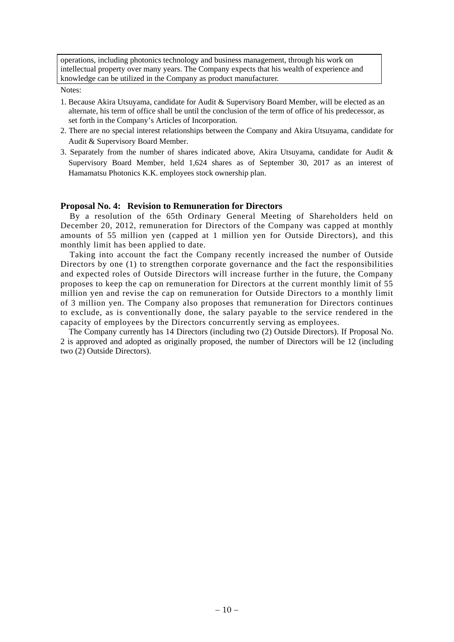operations, including photonics technology and business management, through his work on intellectual property over many years. The Company expects that his wealth of experience and knowledge can be utilized in the Company as product manufacturer.

Notes:

- 1. Because Akira Utsuyama, candidate for Audit & Supervisory Board Member, will be elected as an alternate, his term of office shall be until the conclusion of the term of office of his predecessor, as set forth in the Company's Articles of Incorporation.
- 2. There are no special interest relationships between the Company and Akira Utsuyama, candidate for Audit & Supervisory Board Member.
- 3. Separately from the number of shares indicated above, Akira Utsuyama, candidate for Audit  $\&$ Supervisory Board Member, held 1,624 shares as of September 30, 2017 as an interest of Hamamatsu Photonics K.K. employees stock ownership plan.

#### **Proposal No. 4: Revision to Remuneration for Directors**

By a resolution of the 65th Ordinary General Meeting of Shareholders held on December 20, 2012, remuneration for Directors of the Company was capped at monthly amounts of 55 million yen (capped at 1 million yen for Outside Directors), and this monthly limit has been applied to date.

Taking into account the fact the Company recently increased the number of Outside Directors by one (1) to strengthen corporate governance and the fact the responsibilities and expected roles of Outside Directors will increase further in the future, the Company proposes to keep the cap on remuneration for Directors at the current monthly limit of 55 million yen and revise the cap on remuneration for Outside Directors to a monthly limit of 3 million yen. The Company also proposes that remuneration for Directors continues to exclude, as is conventionally done, the salary payable to the service rendered in the capacity of employees by the Directors concurrently serving as employees.

The Company currently has 14 Directors (including two (2) Outside Directors). If Proposal No. 2 is approved and adopted as originally proposed, the number of Directors will be 12 (including two (2) Outside Directors).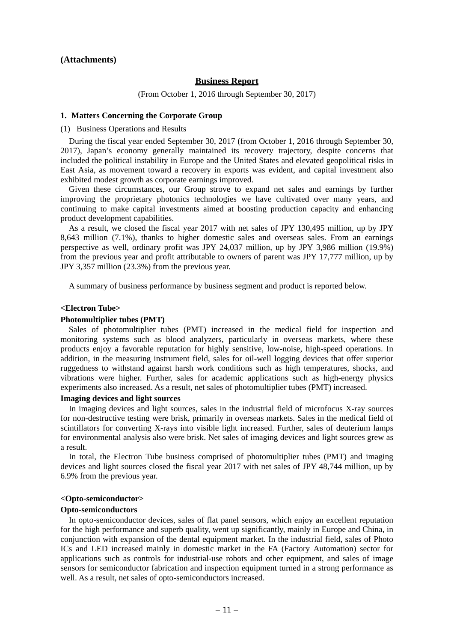#### **(Attachments)**

#### **Business Report**

(From October 1, 2016 through September 30, 2017)

#### **1. Matters Concerning the Corporate Group**

(1) Business Operations and Results

During the fiscal year ended September 30, 2017 (from October 1, 2016 through September 30, 2017), Japan's economy generally maintained its recovery trajectory, despite concerns that included the political instability in Europe and the United States and elevated geopolitical risks in East Asia, as movement toward a recovery in exports was evident, and capital investment also exhibited modest growth as corporate earnings improved.

Given these circumstances, our Group strove to expand net sales and earnings by further improving the proprietary photonics technologies we have cultivated over many years, and continuing to make capital investments aimed at boosting production capacity and enhancing product development capabilities.

As a result, we closed the fiscal year 2017 with net sales of JPY 130,495 million, up by JPY 8,643 million (7.1%), thanks to higher domestic sales and overseas sales. From an earnings perspective as well, ordinary profit was JPY 24,037 million, up by JPY 3,986 million (19.9%) from the previous year and profit attributable to owners of parent was JPY 17,777 million, up by JPY 3,357 million (23.3%) from the previous year.

A summary of business performance by business segment and product is reported below.

#### **<Electron Tube>**

#### **Photomultiplier tubes (PMT)**

Sales of photomultiplier tubes (PMT) increased in the medical field for inspection and monitoring systems such as blood analyzers, particularly in overseas markets, where these products enjoy a favorable reputation for highly sensitive, low-noise, high-speed operations. In addition, in the measuring instrument field, sales for oil-well logging devices that offer superior ruggedness to withstand against harsh work conditions such as high temperatures, shocks, and vibrations were higher. Further, sales for academic applications such as high-energy physics experiments also increased. As a result, net sales of photomultiplier tubes (PMT) increased.

#### **Imaging devices and light sources**

In imaging devices and light sources, sales in the industrial field of microfocus X-ray sources for non-destructive testing were brisk, primarily in overseas markets. Sales in the medical field of scintillators for converting X-rays into visible light increased. Further, sales of deuterium lamps for environmental analysis also were brisk. Net sales of imaging devices and light sources grew as a result.

In total, the Electron Tube business comprised of photomultiplier tubes (PMT) and imaging devices and light sources closed the fiscal year 2017 with net sales of JPY 48,744 million, up by 6.9% from the previous year.

#### **<Opto-semiconductor>**

#### **Opto-semiconductors**

In opto-semiconductor devices, sales of flat panel sensors, which enjoy an excellent reputation for the high performance and superb quality, went up significantly, mainly in Europe and China, in conjunction with expansion of the dental equipment market. In the industrial field, sales of Photo ICs and LED increased mainly in domestic market in the FA (Factory Automation) sector for applications such as controls for industrial-use robots and other equipment, and sales of image sensors for semiconductor fabrication and inspection equipment turned in a strong performance as well. As a result, net sales of opto-semiconductors increased.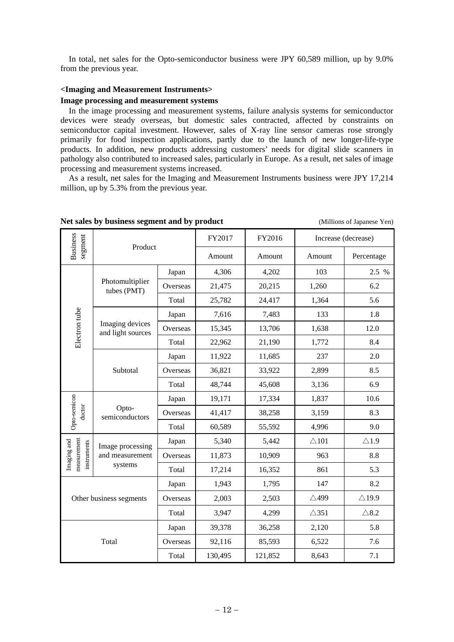In total, net sales for the Opto-semiconductor business were JPY 60,589 million, up by 9.0% from the previous year.

#### **<Imaging and Measurement Instruments>**

#### **Image processing and measurement systems**

In the image processing and measurement systems, failure analysis systems for semiconductor devices were steady overseas, but domestic sales contracted, affected by constraints on semiconductor capital investment. However, sales of X-ray line sensor cameras rose strongly primarily for food inspection applications, partly due to the launch of new longer-life-type products. In addition, new products addressing customers' needs for digital slide scanners in pathology also contributed to increased sales, particularly in Europe. As a result, net sales of image processing and measurement systems increased.

As a result, net sales for the Imaging and Measurement Instruments business were JPY 17,214 million, up by 5.3% from the previous year.

|                                           |                                                |          | FY2017  | FY2016  |                 | Increase (decrease) |
|-------------------------------------------|------------------------------------------------|----------|---------|---------|-----------------|---------------------|
| <b>Business</b><br>segment                | Product                                        |          | Amount  | Amount  | Amount          | Percentage          |
|                                           |                                                | Japan    | 4,306   | 4,202   | 103             | 2.5 %               |
|                                           | Photomultiplier<br>tubes (PMT)                 | Overseas | 21,475  | 20,215  | 1,260           | 6.2                 |
|                                           |                                                | Total    | 25,782  | 24,417  | 1,364           | 5.6                 |
|                                           |                                                | Japan    | 7,616   | 7,483   | 133             | 1.8                 |
| Electron tube                             | Imaging devices<br>and light sources           | Overseas | 15,345  | 13,706  | 1,638           | 12.0                |
|                                           |                                                | Total    | 22,962  | 21,190  | 1,772           | 8.4                 |
|                                           |                                                | Japan    | 11,922  | 11,685  | 237             | 2.0                 |
|                                           | Subtotal                                       | Overseas | 36,821  | 33,922  | 2,899           | 8.5                 |
|                                           |                                                | Total    | 48,744  | 45,608  | 3,136           | 6.9                 |
|                                           | Opto-<br>semiconductors                        | Japan    | 19,171  | 17,334  | 1,837           | 10.6                |
| Opto-semicon<br>ductor                    |                                                | Overseas | 41,417  | 38,258  | 3,159           | 8.3                 |
|                                           |                                                | Total    | 60,589  | 55,592  | 4,996           | 9.0                 |
|                                           | Image processing<br>and measurement<br>systems | Japan    | 5,340   | 5,442   | $\triangle 101$ | $\triangle$ 1.9     |
| measurement<br>Imaging and<br>instruments |                                                | Overseas | 11,873  | 10,909  | 963             | 8.8                 |
|                                           |                                                | Total    | 17,214  | 16,352  | 861             | 5.3                 |
|                                           |                                                |          | 1,943   | 1,795   | 147             | 8.2                 |
| Other business segments                   |                                                | Overseas | 2,003   | 2,503   | $\triangle 499$ | $\triangle$ 19.9    |
|                                           |                                                |          | 3,947   | 4,299   | $\triangle$ 351 | $\triangle$ 8.2     |
|                                           |                                                |          | 39,378  | 36,258  | 2,120           | 5.8                 |
|                                           | Total                                          | Overseas | 92,116  | 85,593  | 6,522           | 7.6                 |
|                                           |                                                | Total    | 130,495 | 121,852 | 8,643           | 7.1                 |

**Net sales by business segment and by product** (Millions of Japanese Yen)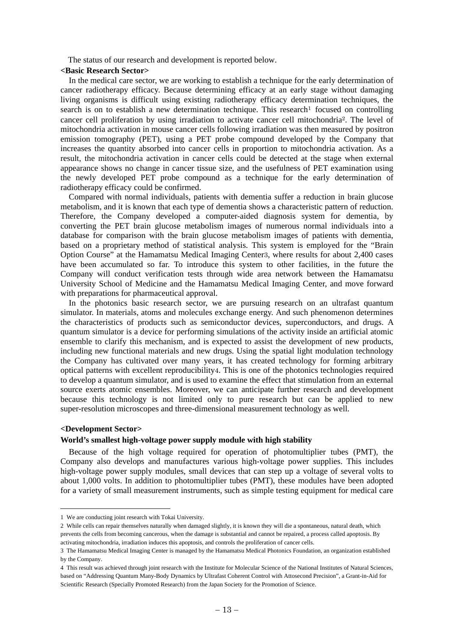The status of our research and development is reported below.

#### **<Basic Research Sector>**

In the medical care sector, we are working to establish a technique for the early determination of cancer radiotherapy efficacy. Because determining efficacy at an early stage without damaging living organisms is difficult using existing radiotherapy efficacy determination techniques, the search is on to establish a new determination technique. This research<sup>1</sup> focused on controlling cancer cell proliferation by using irradiation to activate cancer cell mitochondria2. The level of mitochondria activation in mouse cancer cells following irradiation was then measured by positron emission tomography (PET), using a PET probe compound developed by the Company that increases the quantity absorbed into cancer cells in proportion to mitochondria activation. As a result, the mitochondria activation in cancer cells could be detected at the stage when external appearance shows no change in cancer tissue size, and the usefulness of PET examination using the newly developed PET probe compound as a technique for the early determination of radiotherapy efficacy could be confirmed.

Compared with normal individuals, patients with dementia suffer a reduction in brain glucose metabolism, and it is known that each type of dementia shows a characteristic pattern of reduction. Therefore, the Company developed a computer-aided diagnosis system for dementia, by converting the PET brain glucose metabolism images of numerous normal individuals into a database for comparison with the brain glucose metabolism images of patients with dementia, based on a proprietary method of statistical analysis. This system is employed for the "Brain Option Course" at the Hamamatsu Medical Imaging Center3, where results for about 2,400 cases have been accumulated so far. To introduce this system to other facilities, in the future the Company will conduct verification tests through wide area network between the Hamamatsu University School of Medicine and the Hamamatsu Medical Imaging Center, and move forward with preparations for pharmaceutical approval.

In the photonics basic research sector, we are pursuing research on an ultrafast quantum simulator. In materials, atoms and molecules exchange energy. And such phenomenon determines the characteristics of products such as semiconductor devices, superconductors, and drugs. A quantum simulator is a device for performing simulations of the activity inside an artificial atomic ensemble to clarify this mechanism, and is expected to assist the development of new products, including new functional materials and new drugs. Using the spatial light modulation technology the Company has cultivated over many years, it has created technology for forming arbitrary optical patterns with excellent reproducibility4. This is one of the photonics technologies required to develop a quantum simulator, and is used to examine the effect that stimulation from an external source exerts atomic ensembles. Moreover, we can anticipate further research and development because this technology is not limited only to pure research but can be applied to new super-resolution microscopes and three-dimensional measurement technology as well.

### **<Development Sector>**

#### **World's smallest high-voltage power supply module with high stability**

Because of the high voltage required for operation of photomultiplier tubes (PMT), the Company also develops and manufactures various high-voltage power supplies. This includes high-voltage power supply modules, small devices that can step up a voltage of several volts to about 1,000 volts. In addition to photomultiplier tubes (PMT), these modules have been adopted for a variety of small measurement instruments, such as simple testing equipment for medical care

<sup>1</sup> We are conducting joint research with Tokai University.

<sup>2</sup> While cells can repair themselves naturally when damaged slightly, it is known they will die a spontaneous, natural death, which prevents the cells from becoming cancerous, when the damage is substantial and cannot be repaired, a process called apoptosis. By activating mitochondria, irradiation induces this apoptosis, and controls the proliferation of cancer cells.

<sup>3</sup> The Hamamatsu Medical Imaging Center is managed by the Hamamatsu Medical Photonics Foundation, an organization established by the Company.

<sup>4</sup> This result was achieved through joint research with the Institute for Molecular Science of the National Institutes of Natural Sciences, based on "Addressing Quantum Many-Body Dynamics by Ultrafast Coherent Control with Attosecond Precision", a Grant-in-Aid for Scientific Research (Specially Promoted Research) from the Japan Society for the Promotion of Science.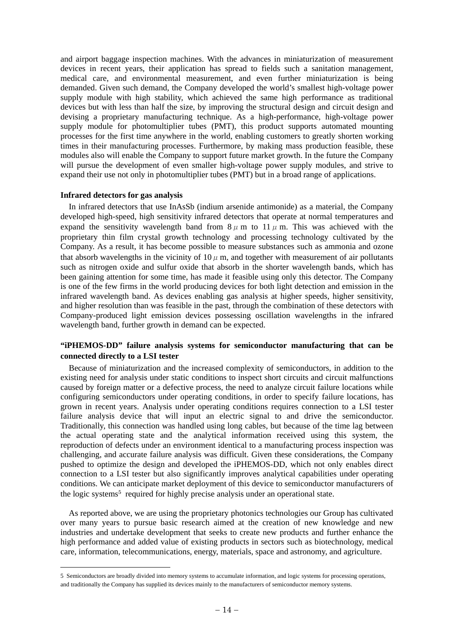and airport baggage inspection machines. With the advances in miniaturization of measurement devices in recent years, their application has spread to fields such a sanitation management, medical care, and environmental measurement, and even further miniaturization is being demanded. Given such demand, the Company developed the world's smallest high-voltage power supply module with high stability, which achieved the same high performance as traditional devices but with less than half the size, by improving the structural design and circuit design and devising a proprietary manufacturing technique. As a high-performance, high-voltage power supply module for photomultiplier tubes (PMT), this product supports automated mounting processes for the first time anywhere in the world, enabling customers to greatly shorten working times in their manufacturing processes. Furthermore, by making mass production feasible, these modules also will enable the Company to support future market growth. In the future the Company will pursue the development of even smaller high-voltage power supply modules, and strive to expand their use not only in photomultiplier tubes (PMT) but in a broad range of applications.

#### **Infrared detectors for gas analysis**

 $\overline{a}$ 

In infrared detectors that use InAsSb (indium arsenide antimonide) as a material, the Company developed high-speed, high sensitivity infrared detectors that operate at normal temperatures and expand the sensitivity wavelength band from  $8 \mu$  m to  $11 \mu$  m. This was achieved with the proprietary thin film crystal growth technology and processing technology cultivated by the Company. As a result, it has become possible to measure substances such as ammonia and ozone that absorb wavelengths in the vicinity of  $10 \mu$  m, and together with measurement of air pollutants such as nitrogen oxide and sulfur oxide that absorb in the shorter wavelength bands, which has been gaining attention for some time, has made it feasible using only this detector. The Company is one of the few firms in the world producing devices for both light detection and emission in the infrared wavelength band. As devices enabling gas analysis at higher speeds, higher sensitivity, and higher resolution than was feasible in the past, through the combination of these detectors with Company-produced light emission devices possessing oscillation wavelengths in the infrared wavelength band, further growth in demand can be expected.

### **"iPHEMOS-DD" failure analysis systems for semiconductor manufacturing that can be connected directly to a LSI tester**

Because of miniaturization and the increased complexity of semiconductors, in addition to the existing need for analysis under static conditions to inspect short circuits and circuit malfunctions caused by foreign matter or a defective process, the need to analyze circuit failure locations while configuring semiconductors under operating conditions, in order to specify failure locations, has grown in recent years. Analysis under operating conditions requires connection to a LSI tester failure analysis device that will input an electric signal to and drive the semiconductor. Traditionally, this connection was handled using long cables, but because of the time lag between the actual operating state and the analytical information received using this system, the reproduction of defects under an environment identical to a manufacturing process inspection was challenging, and accurate failure analysis was difficult. Given these considerations, the Company pushed to optimize the design and developed the iPHEMOS-DD, which not only enables direct connection to a LSI tester but also significantly improves analytical capabilities under operating conditions. We can anticipate market deployment of this device to semiconductor manufacturers of the logic systems<sup>5</sup> required for highly precise analysis under an operational state.

As reported above, we are using the proprietary photonics technologies our Group has cultivated over many years to pursue basic research aimed at the creation of new knowledge and new industries and undertake development that seeks to create new products and further enhance the high performance and added value of existing products in sectors such as biotechnology, medical care, information, telecommunications, energy, materials, space and astronomy, and agriculture.

<sup>5</sup> Semiconductors are broadly divided into memory systems to accumulate information, and logic systems for processing operations, and traditionally the Company has supplied its devices mainly to the manufacturers of semiconductor memory systems.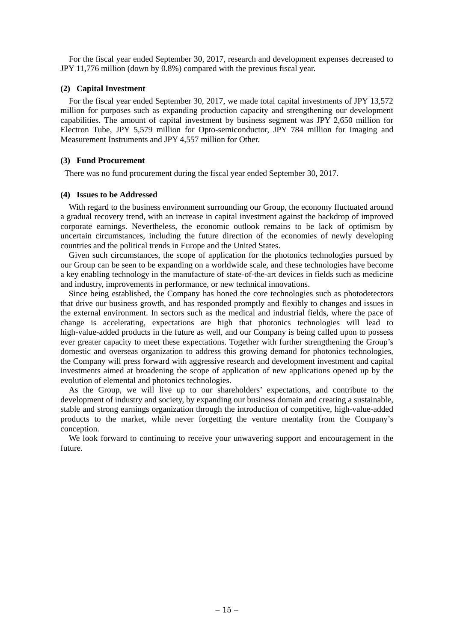For the fiscal year ended September 30, 2017, research and development expenses decreased to JPY 11,776 million (down by 0.8%) compared with the previous fiscal year.

#### **(2) Capital Investment**

For the fiscal year ended September 30, 2017, we made total capital investments of JPY 13,572 million for purposes such as expanding production capacity and strengthening our development capabilities. The amount of capital investment by business segment was JPY 2,650 million for Electron Tube, JPY 5,579 million for Opto-semiconductor, JPY 784 million for Imaging and Measurement Instruments and JPY 4,557 million for Other.

### **(3) Fund Procurement**

There was no fund procurement during the fiscal year ended September 30, 2017.

### **(4) Issues to be Addressed**

With regard to the business environment surrounding our Group, the economy fluctuated around a gradual recovery trend, with an increase in capital investment against the backdrop of improved corporate earnings. Nevertheless, the economic outlook remains to be lack of optimism by uncertain circumstances, including the future direction of the economies of newly developing countries and the political trends in Europe and the United States.

Given such circumstances, the scope of application for the photonics technologies pursued by our Group can be seen to be expanding on a worldwide scale, and these technologies have become a key enabling technology in the manufacture of state-of-the-art devices in fields such as medicine and industry, improvements in performance, or new technical innovations.

Since being established, the Company has honed the core technologies such as photodetectors that drive our business growth, and has responded promptly and flexibly to changes and issues in the external environment. In sectors such as the medical and industrial fields, where the pace of change is accelerating, expectations are high that photonics technologies will lead to high-value-added products in the future as well, and our Company is being called upon to possess ever greater capacity to meet these expectations. Together with further strengthening the Group's domestic and overseas organization to address this growing demand for photonics technologies, the Company will press forward with aggressive research and development investment and capital investments aimed at broadening the scope of application of new applications opened up by the evolution of elemental and photonics technologies.

As the Group, we will live up to our shareholders' expectations, and contribute to the development of industry and society, by expanding our business domain and creating a sustainable, stable and strong earnings organization through the introduction of competitive, high-value-added products to the market, while never forgetting the venture mentality from the Company's conception.

We look forward to continuing to receive your unwavering support and encouragement in the future.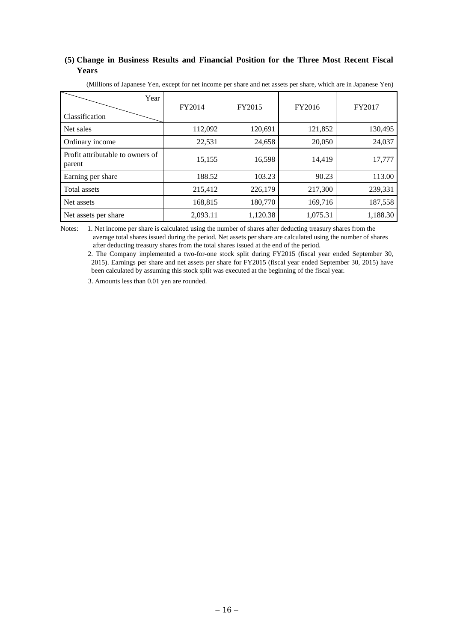### **(5) Change in Business Results and Financial Position for the Three Most Recent Fiscal Years**

| (Millions of Japanese Yen, except for net income per share and net assets per share, which are in Japanese Yen) |  |  |  |  |  |
|-----------------------------------------------------------------------------------------------------------------|--|--|--|--|--|
|-----------------------------------------------------------------------------------------------------------------|--|--|--|--|--|

| Year<br>Classification                     | FY2014   | FY2015   | FY2016   | FY2017   |
|--------------------------------------------|----------|----------|----------|----------|
| Net sales                                  | 112,092  | 120,691  | 121,852  | 130,495  |
| Ordinary income                            | 22,531   | 24,658   | 20,050   | 24,037   |
| Profit attributable to owners of<br>parent | 15,155   | 16,598   | 14,419   | 17,777   |
| Earning per share                          | 188.52   | 103.23   | 90.23    | 113.00   |
| Total assets                               | 215,412  | 226,179  | 217,300  | 239,331  |
| Net assets                                 | 168,815  | 180,770  | 169,716  | 187,558  |
| Net assets per share                       | 2,093.11 | 1,120.38 | 1,075.31 | 1,188.30 |

Notes: 1. Net income per share is calculated using the number of shares after deducting treasury shares from the average total shares issued during the period. Net assets per share are calculated using the number of shares after deducting treasury shares from the total shares issued at the end of the period.

2. The Company implemented a two-for-one stock split during FY2015 (fiscal year ended September 30, 2015). Earnings per share and net assets per share for FY2015 (fiscal year ended September 30, 2015) have been calculated by assuming this stock split was executed at the beginning of the fiscal year.

3. Amounts less than 0.01 yen are rounded.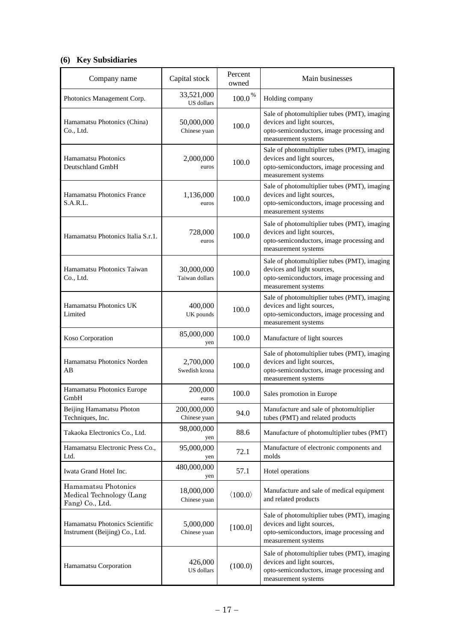# **(6) Key Subsidiaries**

| Company name                                                       | Capital stock                | Percent<br>owned        | Main businesses                                                                                                                                |
|--------------------------------------------------------------------|------------------------------|-------------------------|------------------------------------------------------------------------------------------------------------------------------------------------|
| Photonics Management Corp.                                         | 33,521,000<br>US dollars     | $100.0\,^{\%}$          | Holding company                                                                                                                                |
| Hamamatsu Photonics (China)<br>Co., Ltd.                           | 50,000,000<br>Chinese yuan   | 100.0                   | Sale of photomultiplier tubes (PMT), imaging<br>devices and light sources,<br>opto-semiconductors, image processing and<br>measurement systems |
| Hamamatsu Photonics<br>Deutschland GmbH                            | 2,000,000<br>euros           | 100.0                   | Sale of photomultiplier tubes (PMT), imaging<br>devices and light sources,<br>opto-semiconductors, image processing and<br>measurement systems |
| Hamamatsu Photonics France<br>S.A.R.L.                             | 1,136,000<br>euros           | 100.0                   | Sale of photomultiplier tubes (PMT), imaging<br>devices and light sources,<br>opto-semiconductors, image processing and<br>measurement systems |
| Hamamatsu Photonics Italia S.r.1.                                  | 728,000<br>euros             | 100.0                   | Sale of photomultiplier tubes (PMT), imaging<br>devices and light sources,<br>opto-semiconductors, image processing and<br>measurement systems |
| Hamamatsu Photonics Taiwan<br>Co., Ltd.                            | 30,000,000<br>Taiwan dollars | 100.0                   | Sale of photomultiplier tubes (PMT), imaging<br>devices and light sources,<br>opto-semiconductors, image processing and<br>measurement systems |
| Hamamatsu Photonics UK<br>Limited                                  | 400,000<br>UK pounds         | 100.0                   | Sale of photomultiplier tubes (PMT), imaging<br>devices and light sources,<br>opto-semiconductors, image processing and<br>measurement systems |
| Koso Corporation                                                   | 85,000,000<br>yen            | 100.0                   | Manufacture of light sources                                                                                                                   |
| Hamamatsu Photonics Norden<br>AB                                   | 2,700,000<br>Swedish krona   | 100.0                   | Sale of photomultiplier tubes (PMT), imaging<br>devices and light sources,<br>opto-semiconductors, image processing and<br>measurement systems |
| Hamamatsu Photonics Europe<br>GmbH                                 | 200,000<br>euros             | 100.0                   | Sales promotion in Europe                                                                                                                      |
| Beijing Hamamatsu Photon<br>Techniques, Inc.                       | 200,000,000<br>Chinese yuan  | 94.0                    | Manufacture and sale of photomultiplier<br>tubes (PMT) and related products                                                                    |
| Takaoka Electronics Co., Ltd.                                      | 98,000,000<br>yen            | 88.6                    | Manufacture of photomultiplier tubes (PMT)                                                                                                     |
| Hamamatsu Electronic Press Co.,<br>Ltd.                            | 95,000,000<br>yen            | 72.1                    | Manufacture of electronic components and<br>molds                                                                                              |
| Iwata Grand Hotel Inc.                                             | 480,000,000<br>yen           | 57.1                    | Hotel operations                                                                                                                               |
| Hamamatsu Photonics<br>Medical Technology (Lang<br>Fang) Co., Ltd. | 18,000,000<br>Chinese yuan   | $\langle 100.0 \rangle$ | Manufacture and sale of medical equipment<br>and related products                                                                              |
| Hamamatsu Photonics Scientific<br>Instrument (Beijing) Co., Ltd.   | 5,000,000<br>Chinese yuan    | [100.0]                 | Sale of photomultiplier tubes (PMT), imaging<br>devices and light sources,<br>opto-semiconductors, image processing and<br>measurement systems |
| Hamamatsu Corporation                                              | 426,000<br>US dollars        | (100.0)                 | Sale of photomultiplier tubes (PMT), imaging<br>devices and light sources,<br>opto-semiconductors, image processing and<br>measurement systems |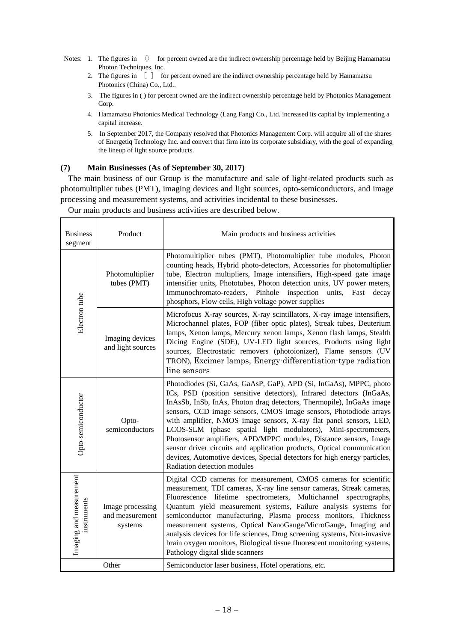- Notes: 1. The figures in  $\Diamond$  for percent owned are the indirect ownership percentage held by Beijing Hamamatsu Photon Techniques, Inc.
	- 2. The figures in  $\begin{bmatrix} \end{bmatrix}$  for percent owned are the indirect ownership percentage held by Hamamatsu Photonics (China) Co., Ltd..
	- 3. The figures in ( ) for percent owned are the indirect ownership percentage held by Photonics Management Corp.
	- 4. Hamamatsu Photonics Medical Technology (Lang Fang) Co., Ltd. increased its capital by implementing a capital increase.
	- 5. In September 2017, the Company resolved that Photonics Management Corp. will acquire all of the shares of Energetiq Technology Inc. and convert that firm into its corporate subsidiary, with the goal of expanding the lineup of light source products.

#### **(7) Main Businesses (As of September 30, 2017)**

The main business of our Group is the manufacture and sale of light-related products such as photomultiplier tubes (PMT), imaging devices and light sources, opto-semiconductors, and image processing and measurement systems, and activities incidental to these businesses.

| Product<br><b>Business</b><br>segment  |                                                | Main products and business activities                                                                                                                                                                                                                                                                                                                                                                                                                                                                                                                                                                                                                                                     |
|----------------------------------------|------------------------------------------------|-------------------------------------------------------------------------------------------------------------------------------------------------------------------------------------------------------------------------------------------------------------------------------------------------------------------------------------------------------------------------------------------------------------------------------------------------------------------------------------------------------------------------------------------------------------------------------------------------------------------------------------------------------------------------------------------|
|                                        | Photomultiplier<br>tubes (PMT)                 | Photomultiplier tubes (PMT), Photomultiplier tube modules, Photon<br>counting heads, Hybrid photo-detectors, Accessories for photomultiplier<br>tube, Electron multipliers, Image intensifiers, High-speed gate image<br>intensifier units, Phototubes, Photon detection units, UV power meters,<br>Immunochromato-readers, Pinhole inspection units, Fast<br>decay<br>phosphors, Flow cells, High voltage power supplies                                                                                                                                                                                                                                                                 |
| Electron tube                          | Imaging devices<br>and light sources           | Microfocus X-ray sources, X-ray scintillators, X-ray image intensifiers,<br>Microchannel plates, FOP (fiber optic plates), Streak tubes, Deuterium<br>lamps, Xenon lamps, Mercury xenon lamps, Xenon flash lamps, Stealth<br>Dicing Engine (SDE), UV-LED light sources, Products using light<br>sources, Electrostatic removers (photoionizer), Flame sensors (UV<br>TRON), Excimer lamps, Energy-differentiation-type radiation<br>line sensors                                                                                                                                                                                                                                          |
| Opto-semiconductor                     | Opto-<br>semiconductors                        | Photodiodes (Si, GaAs, GaAsP, GaP), APD (Si, InGaAs), MPPC, photo<br>ICs, PSD (position sensitive detectors), Infrared detectors (InGaAs,<br>InAsSb, InSb, InAs, Photon drag detectors, Thermopile), InGaAs image<br>sensors, CCD image sensors, CMOS image sensors, Photodiode arrays<br>with amplifier, NMOS image sensors, X-ray flat panel sensors, LED,<br>LCOS-SLM (phase spatial light modulators), Mini-spectrometers,<br>Photosensor amplifiers, APD/MPPC modules, Distance sensors, Image<br>sensor driver circuits and application products, Optical communication<br>devices, Automotive devices, Special detectors for high energy particles,<br>Radiation detection modules |
| Imaging and measurement<br>instruments | Image processing<br>and measurement<br>systems | Digital CCD cameras for measurement, CMOS cameras for scientific<br>measurement, TDI cameras, X-ray line sensor cameras, Streak cameras,<br>spectrometers, Multichannel spectrographs,<br>Fluorescence lifetime<br>Quantum yield measurement systems, Failure analysis systems for<br>semiconductor manufacturing, Plasma process monitors, Thickness<br>measurement systems, Optical NanoGauge/MicroGauge, Imaging and<br>analysis devices for life sciences, Drug screening systems, Non-invasive<br>brain oxygen monitors, Biological tissue fluorescent monitoring systems,<br>Pathology digital slide scanners                                                                       |
| Other                                  |                                                | Semiconductor laser business, Hotel operations, etc.                                                                                                                                                                                                                                                                                                                                                                                                                                                                                                                                                                                                                                      |

Our main products and business activities are described below.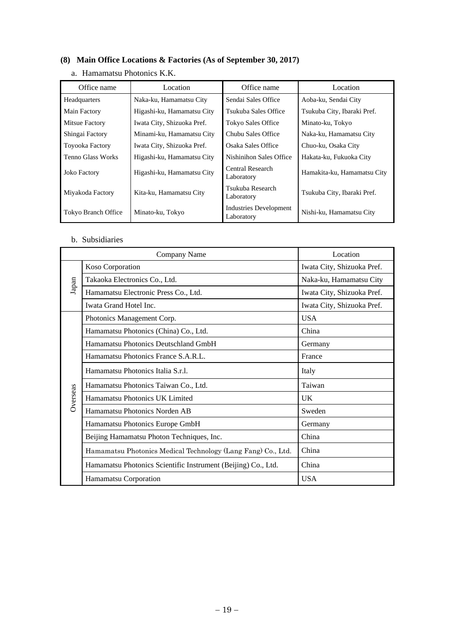# **(8) Main Office Locations & Factories (As of September 30, 2017)**

| Office name           | Location                   | Office name                                 | Location                    |
|-----------------------|----------------------------|---------------------------------------------|-----------------------------|
| Headquarters          | Naka-ku, Hamamatsu City    | Sendai Sales Office                         | Aoba-ku, Sendai City        |
| Main Factory          | Higashi-ku, Hamamatsu City | Tsukuba Sales Office                        | Tsukuba City, Ibaraki Pref. |
| <b>Mitsue Factory</b> | Iwata City, Shizuoka Pref. | Tokyo Sales Office                          | Minato-ku, Tokyo            |
| Shingai Factory       | Minami-ku, Hamamatsu City  | Chubu Sales Office                          | Naka-ku, Hamamatsu City     |
| Toyooka Factory       | Iwata City, Shizuoka Pref. | Osaka Sales Office                          | Chuo-ku, Osaka City         |
| Tenno Glass Works     | Higashi-ku, Hamamatsu City | Nishinihon Sales Office                     | Hakata-ku, Fukuoka City     |
| <b>Joko Factory</b>   | Higashi-ku, Hamamatsu City | Central Research<br>Laboratory              | Hamakita-ku, Hamamatsu City |
| Miyakoda Factory      | Kita-ku, Hamamatsu City    | Tsukuba Research<br>Laboratory              | Tsukuba City, Ibaraki Pref. |
| Tokyo Branch Office   | Minato-ku, Tokyo           | <b>Industries Development</b><br>Laboratory | Nishi-ku, Hamamatsu City    |

# a. Hamamatsu Photonics K.K.

### b. Subsidiaries

|          | Company Name                                                  | Location                   |
|----------|---------------------------------------------------------------|----------------------------|
|          | Koso Corporation                                              | Iwata City, Shizuoka Pref. |
| Japan    | Takaoka Electronics Co., Ltd.                                 | Naka-ku, Hamamatsu City    |
|          | Hamamatsu Electronic Press Co., Ltd.                          | Iwata City, Shizuoka Pref. |
|          | Iwata Grand Hotel Inc.                                        | Iwata City, Shizuoka Pref. |
|          | Photonics Management Corp.                                    | <b>USA</b>                 |
|          | Hamamatsu Photonics (China) Co., Ltd.                         | China                      |
|          | Hamamatsu Photonics Deutschland GmbH                          | Germany                    |
|          | Hamamatsu Photonics France S.A.R.L.                           | France                     |
|          | Hamamatsu Photonics Italia S.r.l.                             | Italy                      |
|          | Hamamatsu Photonics Taiwan Co., Ltd.                          | Taiwan                     |
| Overseas | Hamamatsu Photonics UK Limited                                | UK.                        |
|          | Hamamatsu Photonics Norden AB                                 | Sweden                     |
|          | Hamamatsu Photonics Europe GmbH                               | Germany                    |
|          | Beijing Hamamatsu Photon Techniques, Inc.                     | China                      |
|          | Hamamatsu Photonics Medical Technology (Lang Fang) Co., Ltd.  | China                      |
|          | Hamamatsu Photonics Scientific Instrument (Beijing) Co., Ltd. | China                      |
|          | Hamamatsu Corporation                                         | <b>USA</b>                 |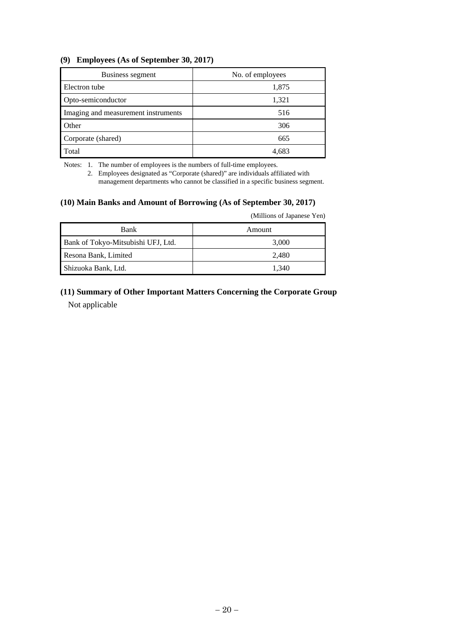### **(9) Employees (As of September 30, 2017)**

| Business segment                    | No. of employees |
|-------------------------------------|------------------|
| Electron tube                       | 1,875            |
| Opto-semiconductor                  | 1,321            |
| Imaging and measurement instruments | 516              |
| Other                               | 306              |
| Corporate (shared)                  | 665              |
| Total                               | 4,683            |

Notes: 1. The number of employees is the numbers of full-time employees.

 2. Employees designated as "Corporate (shared)" are individuals affiliated with management departments who cannot be classified in a specific business segment.

#### **(10) Main Banks and Amount of Borrowing (As of September 30, 2017)**

(Millions of Japanese Yen)

| <b>Bank</b>                        | Amount |
|------------------------------------|--------|
| Bank of Tokyo-Mitsubishi UFJ, Ltd. | 3,000  |
| Resona Bank, Limited               | 2.480  |
| Shizuoka Bank, Ltd.                | 1.340  |

# **(11) Summary of Other Important Matters Concerning the Corporate Group**  Not applicable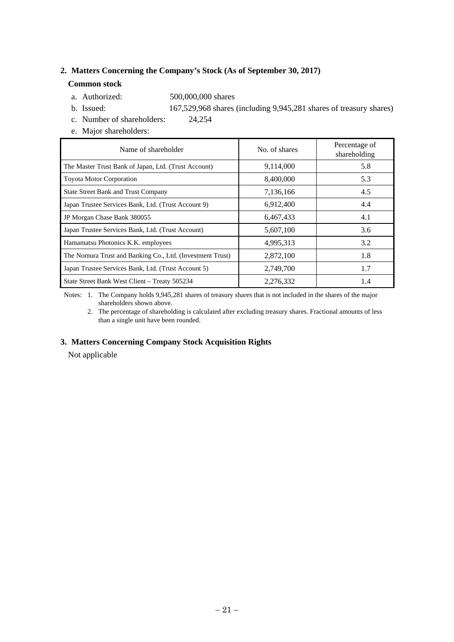### **2. Matters Concerning the Company's Stock (As of September 30, 2017)**

#### **Common stock**

- a. Authorized: 500,000,000 shares
- b. Issued: 167,529,968 shares (including 9,945,281 shares of treasury shares)
- c. Number of shareholders: 24,254
- e. Major shareholders:

| Name of shareholder                                       | No. of shares | Percentage of<br>shareholding |
|-----------------------------------------------------------|---------------|-------------------------------|
| The Master Trust Bank of Japan, Ltd. (Trust Account)      | 9,114,000     | 5.8                           |
| <b>Toyota Motor Corporation</b>                           | 8,400,000     | 5.3                           |
| <b>State Street Bank and Trust Company</b>                | 7,136,166     | 4.5                           |
| Japan Trustee Services Bank, Ltd. (Trust Account 9)       | 6,912,400     | 4.4                           |
| JP Morgan Chase Bank 380055                               | 6,467,433     | 4.1                           |
| Japan Trustee Services Bank, Ltd. (Trust Account)         | 5,607,100     | 3.6                           |
| Hamamatsu Photonics K.K. employees                        | 4,995,313     | 3.2                           |
| The Nomura Trust and Banking Co., Ltd. (Investment Trust) | 2,872,100     | 1.8                           |
| Japan Trustee Services Bank, Ltd. (Trust Account 5)       | 2,749,700     | 1.7                           |
| State Street Bank West Client - Treaty 505234             | 2,276,332     | 1.4                           |

 Notes: 1. The Company holds 9,945,281 shares of treasury shares that is not included in the shares of the major shareholders shown above.

 2. The percentage of shareholding is calculated after excluding treasury shares. Fractional amounts of less than a single unit have been rounded.

#### **3. Matters Concerning Company Stock Acquisition Rights**

Not applicable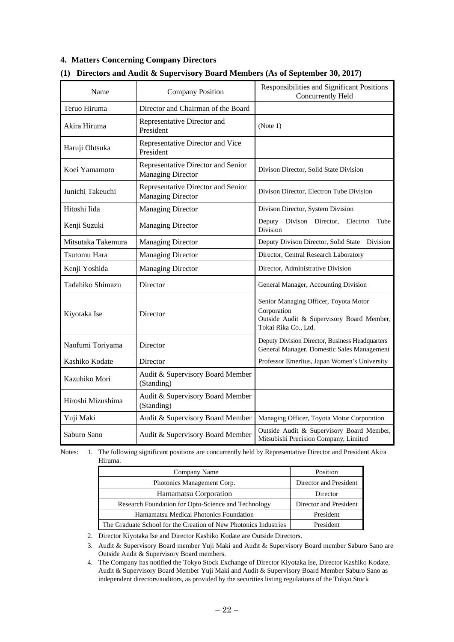### **4. Matters Concerning Company Directors**

| Name               | <b>Company Position</b>                                        | Responsibilities and Significant Positions<br>Concurrently Held                                                           |
|--------------------|----------------------------------------------------------------|---------------------------------------------------------------------------------------------------------------------------|
| Teruo Hiruma       | Director and Chairman of the Board                             |                                                                                                                           |
| Akira Hiruma       | Representative Director and<br>President                       | (Note 1)                                                                                                                  |
| Haruji Ohtsuka     | Representative Director and Vice<br>President                  |                                                                                                                           |
| Koei Yamamoto      | Representative Director and Senior<br><b>Managing Director</b> | Divison Director, Solid State Division                                                                                    |
| Junichi Takeuchi   | Representative Director and Senior<br><b>Managing Director</b> | Divison Director, Electron Tube Division                                                                                  |
| Hitoshi Iida       | <b>Managing Director</b>                                       | Divison Director, System Division                                                                                         |
| Kenji Suzuki       | <b>Managing Director</b>                                       | Deputy Divison Director,<br>Electron<br>Tube<br>Division                                                                  |
| Mitsutaka Takemura | <b>Managing Director</b>                                       | Deputy Divison Director, Solid State Division                                                                             |
| Tsutomu Hara       | <b>Managing Director</b>                                       | Director, Central Research Laboratory                                                                                     |
| Kenji Yoshida      | <b>Managing Director</b>                                       | Director, Administrative Division                                                                                         |
| Tadahiko Shimazu   | Director                                                       | General Manager, Accounting Division                                                                                      |
| Kiyotaka Ise       | Director                                                       | Senior Managing Officer, Toyota Motor<br>Corporation<br>Outside Audit & Supervisory Board Member,<br>Tokai Rika Co., Ltd. |
| Naofumi Toriyama   | Director                                                       | Deputy Division Director, Business Headquarters<br>General Manager, Domestic Sales Management                             |
| Kashiko Kodate     | Director                                                       | Professor Emeritus, Japan Women's University                                                                              |
| Kazuhiko Mori      | Audit & Supervisory Board Member<br>(Standing)                 |                                                                                                                           |
| Hiroshi Mizushima  | Audit & Supervisory Board Member<br>(Standing)                 |                                                                                                                           |
| Yuji Maki          | Audit & Supervisory Board Member                               | Managing Officer, Toyota Motor Corporation                                                                                |
| Saburo Sano        | Audit & Supervisory Board Member                               | Outside Audit & Supervisory Board Member,<br>Mitsubishi Precision Company, Limited                                        |

### **(1) Directors and Audit & Supervisory Board Members (As of September 30, 2017)**

Notes: 1. The following significant positions are concurrently held by Representative Director and President Akira Hiruma.

| Company Name                                                     | Position               |
|------------------------------------------------------------------|------------------------|
| Photonics Management Corp.                                       | Director and President |
| Hamamatsu Corporation                                            | Director               |
| Research Foundation for Opto-Science and Technology              | Director and President |
| Hamamatsu Medical Photonics Foundation                           | President              |
| The Graduate School for the Creation of New Photonics Industries | President              |

2. Director Kiyotaka Ise and Director Kashiko Kodate are Outside Directors.

 3. Audit & Supervisory Board member Yuji Maki and Audit & Supervisory Board member Saburo Sano are Outside Audit & Supervisory Board members.

 4. The Company has notified the Tokyo Stock Exchange of Director Kiyotaka Ise, Director Kashiko Kodate, Audit & Supervisory Board Member Yuji Maki and Audit & Supervisory Board Member Saburo Sano as independent directors/auditors, as provided by the securities listing regulations of the Tokyo Stock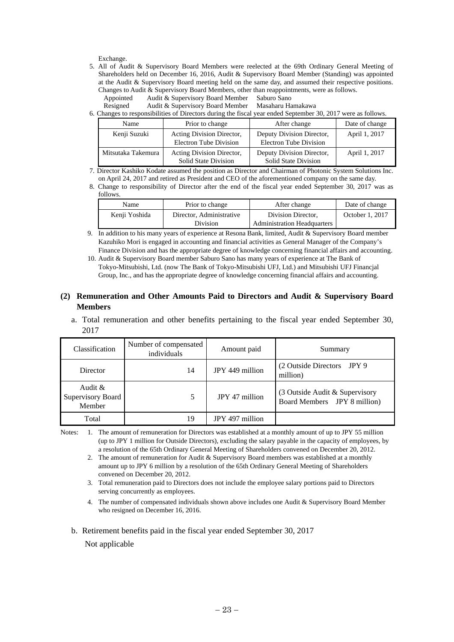Exchange.

- 5. All of Audit & Supervisory Board Members were reelected at the 69th Ordinary General Meeting of Shareholders held on December 16, 2016, Audit & Supervisory Board Member (Standing) was appointed at the Audit & Supervisory Board meeting held on the same day, and assumed their respective positions. Changes to Audit & Supervisory Board Members, other than reappointments, were as follows.
	- Appointed Audit & Supervisory Board Member Saburo Sano

Resigned Audit & Supervisory Board Member Masaharu Hamakawa

6. Changes to responsibilities of Directors during the fiscal year ended September 30, 2017 were as follows.

| Name               | Prior to change           | After change                | Date of change |
|--------------------|---------------------------|-----------------------------|----------------|
| Kenji Suzuki       | Acting Division Director, | Deputy Division Director,   | April 1, 2017  |
|                    | Electron Tube Division    | Electron Tube Division      |                |
| Mitsutaka Takemura | Acting Division Director, | Deputy Division Director,   | April 1, 2017  |
|                    | Solid State Division      | <b>Solid State Division</b> |                |

7. Director Kashiko Kodate assumed the position as Director and Chairman of Photonic System Solutions Inc. on April 24, 2017 and retired as President and CEO of the aforementioned company on the same day.

8. Change to responsibility of Director after the end of the fiscal year ended September 30, 2017 was as follows.

| Name          | Prior to change          | After change                       | Date of change  |
|---------------|--------------------------|------------------------------------|-----------------|
| Kenii Yoshida | Director, Administrative | Division Director.                 | October 1, 2017 |
|               | Division                 | <b>Administration Headquarters</b> |                 |

- 9. In addition to his many years of experience at Resona Bank, limited, Audit & Supervisory Board member Kazuhiko Mori is engaged in accounting and financial activities as General Manager of the Company's Finance Division and has the appropriate degree of knowledge concerning financial affairs and accounting.
- 10. Audit & Supervisory Board member Saburo Sano has many years of experience at The Bank of Tokyo-Mitsubishi, Ltd. (now The Bank of Tokyo-Mitsubishi UFJ, Ltd.) and Mitsubishi UFJ Financjal Group, Inc., and has the appropriate degree of knowledge concerning financial affairs and accounting.

#### **(2) Remuneration and Other Amounts Paid to Directors and Audit & Supervisory Board Members**

a. Total remuneration and other benefits pertaining to the fiscal year ended September 30, 2017

| Classification                                | Number of compensated<br>individuals | Amount paid     | Summary                                                        |
|-----------------------------------------------|--------------------------------------|-----------------|----------------------------------------------------------------|
| Director                                      | 14                                   | JPY 449 million | (2 Outside Directors JPY 9)<br>million)                        |
| Audit &<br><b>Supervisory Board</b><br>Member |                                      | JPY 47 million  | (3 Outside Audit & Supervisory<br>Board Members JPY 8 million) |
| Total                                         | 19                                   | JPY 497 million |                                                                |

Notes: 1. The amount of remuneration for Directors was established at a monthly amount of up to JPY 55 million (up to JPY 1 million for Outside Directors), excluding the salary payable in the capacity of employees, by a resolution of the 65th Ordinary General Meeting of Shareholders convened on December 20, 2012.

- 2. The amount of remuneration for Audit & Supervisory Board members was established at a monthly amount up to JPY 6 million by a resolution of the 65th Ordinary General Meeting of Shareholders convened on December 20, 2012.
- 3. Total remuneration paid to Directors does not include the employee salary portions paid to Directors serving concurrently as employees.
- 4. The number of compensated individuals shown above includes one Audit & Supervisory Board Member who resigned on December 16, 2016.

b. Retirement benefits paid in the fiscal year ended September 30, 2017 Not applicable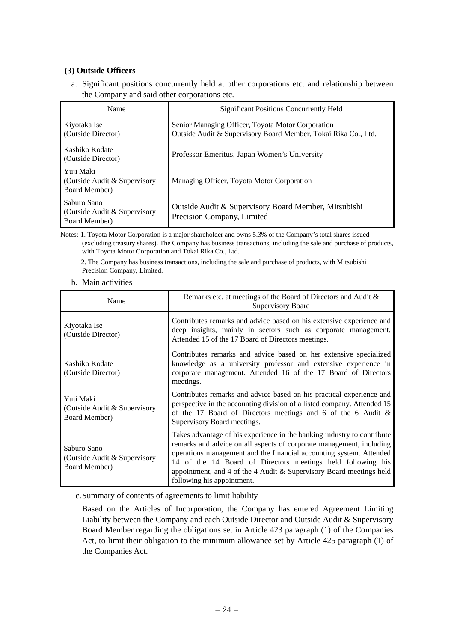### **(3) Outside Officers**

a. Significant positions concurrently held at other corporations etc. and relationship between the Company and said other corporations etc.

| Name                                                                | <b>Significant Positions Concurrently Held</b>                                                                      |
|---------------------------------------------------------------------|---------------------------------------------------------------------------------------------------------------------|
| Kiyotaka Ise<br>(Outside Director)                                  | Senior Managing Officer, Toyota Motor Corporation<br>Outside Audit & Supervisory Board Member, Tokai Rika Co., Ltd. |
| Kashiko Kodate<br>(Outside Director)                                | Professor Emeritus, Japan Women's University                                                                        |
| Yuji Maki<br>(Outside Audit & Supervisory)<br>Board Member)         | Managing Officer, Toyota Motor Corporation                                                                          |
| Saburo Sano<br>(Outside Audit & Supervisory<br><b>Board Member)</b> | Outside Audit & Supervisory Board Member, Mitsubishi<br>Precision Company, Limited                                  |

Notes: 1. Toyota Motor Corporation is a major shareholder and owns 5.3% of the Company's total shares issued (excluding treasury shares). The Company has business transactions, including the sale and purchase of products, with Toyota Motor Corporation and Tokai Rika Co., Ltd..

 2. The Company has business transactions, including the sale and purchase of products, with Mitsubishi Precision Company, Limited.

b. Main activities

| Name                                                         | Remarks etc. at meetings of the Board of Directors and Audit &<br>Supervisory Board                                                                                                                                                                                                                                                                                                        |
|--------------------------------------------------------------|--------------------------------------------------------------------------------------------------------------------------------------------------------------------------------------------------------------------------------------------------------------------------------------------------------------------------------------------------------------------------------------------|
| Kiyotaka Ise<br>(Outside Director)                           | Contributes remarks and advice based on his extensive experience and<br>deep insights, mainly in sectors such as corporate management.<br>Attended 15 of the 17 Board of Directors meetings.                                                                                                                                                                                               |
| Kashiko Kodate<br>(Outside Director)                         | Contributes remarks and advice based on her extensive specialized<br>knowledge as a university professor and extensive experience in<br>corporate management. Attended 16 of the 17 Board of Directors<br>meetings.                                                                                                                                                                        |
| Yuji Maki<br>(Outside Audit & Supervisory<br>Board Member)   | Contributes remarks and advice based on his practical experience and<br>perspective in the accounting division of a listed company. Attended 15<br>of the 17 Board of Directors meetings and 6 of the 6 Audit &<br>Supervisory Board meetings.                                                                                                                                             |
| Saburo Sano<br>(Outside Audit & Supervisory<br>Board Member) | Takes advantage of his experience in the banking industry to contribute<br>remarks and advice on all aspects of corporate management, including<br>operations management and the financial accounting system. Attended<br>14 of the 14 Board of Directors meetings held following his<br>appointment, and 4 of the 4 Audit & Supervisory Board meetings held<br>following his appointment. |

c. Summary of contents of agreements to limit liability

Based on the Articles of Incorporation, the Company has entered Agreement Limiting Liability between the Company and each Outside Director and Outside Audit & Supervisory Board Member regarding the obligations set in Article 423 paragraph (1) of the Companies Act, to limit their obligation to the minimum allowance set by Article 425 paragraph (1) of the Companies Act.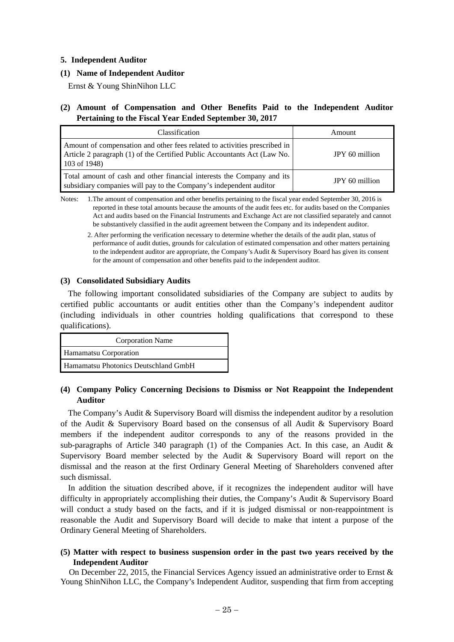#### **5. Independent Auditor**

#### **(1) Name of Independent Auditor**

Ernst & Young ShinNihon LLC

### **(2) Amount of Compensation and Other Benefits Paid to the Independent Auditor Pertaining to the Fiscal Year Ended September 30, 2017**

| Classification                                                                                                                                                        | Amount         |
|-----------------------------------------------------------------------------------------------------------------------------------------------------------------------|----------------|
| Amount of compensation and other fees related to activities prescribed in<br>Article 2 paragraph (1) of the Certified Public Accountants Act (Law No.<br>103 of 1948) | JPY 60 million |
| Total amount of cash and other financial interests the Company and its<br>subsidiary companies will pay to the Company's independent auditor                          | JPY 60 million |

Notes: 1.The amount of compensation and other benefits pertaining to the fiscal year ended September 30, 2016 is reported in these total amounts because the amounts of the audit fees etc. for audits based on the Companies Act and audits based on the Financial Instruments and Exchange Act are not classified separately and cannot be substantively classified in the audit agreement between the Company and its independent auditor.

 2. After performing the verification necessary to determine whether the details of the audit plan, status of performance of audit duties, grounds for calculation of estimated compensation and other matters pertaining to the independent auditor are appropriate, the Company's Audit & Supervisory Board has given its consent for the amount of compensation and other benefits paid to the independent auditor.

#### **(3) Consolidated Subsidiary Audits**

The following important consolidated subsidiaries of the Company are subject to audits by certified public accountants or audit entities other than the Company's independent auditor (including individuals in other countries holding qualifications that correspond to these qualifications).

| <b>Corporation Name</b>              |  |  |
|--------------------------------------|--|--|
| Hamamatsu Corporation                |  |  |
| Hamamatsu Photonics Deutschland GmbH |  |  |

### **(4) Company Policy Concerning Decisions to Dismiss or Not Reappoint the Independent Auditor**

The Company's Audit & Supervisory Board will dismiss the independent auditor by a resolution of the Audit & Supervisory Board based on the consensus of all Audit & Supervisory Board members if the independent auditor corresponds to any of the reasons provided in the sub-paragraphs of Article 340 paragraph (1) of the Companies Act. In this case, an Audit  $\&$ Supervisory Board member selected by the Audit & Supervisory Board will report on the dismissal and the reason at the first Ordinary General Meeting of Shareholders convened after such dismissal.

In addition the situation described above, if it recognizes the independent auditor will have difficulty in appropriately accomplishing their duties, the Company's Audit & Supervisory Board will conduct a study based on the facts, and if it is judged dismissal or non-reappointment is reasonable the Audit and Supervisory Board will decide to make that intent a purpose of the Ordinary General Meeting of Shareholders.

### **(5) Matter with respect to business suspension order in the past two years received by the Independent Auditor**

On December 22, 2015, the Financial Services Agency issued an administrative order to Ernst & Young ShinNihon LLC, the Company's Independent Auditor, suspending that firm from accepting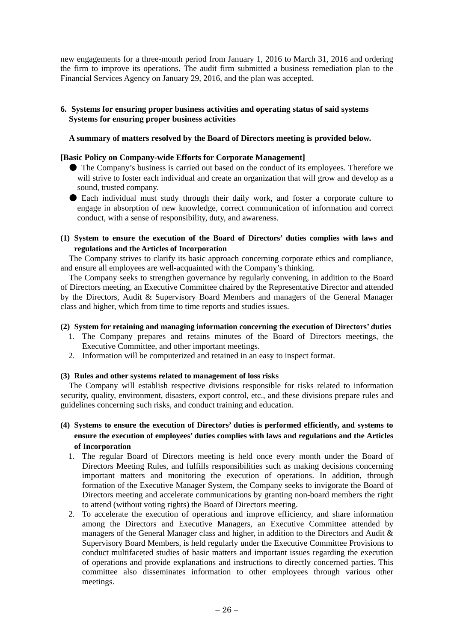new engagements for a three-month period from January 1, 2016 to March 31, 2016 and ordering the firm to improve its operations. The audit firm submitted a business remediation plan to the Financial Services Agency on January 29, 2016, and the plan was accepted.

### **6. Systems for ensuring proper business activities and operating status of said systems Systems for ensuring proper business activities**

### **A summary of matters resolved by the Board of Directors meeting is provided below.**

### **[Basic Policy on Company-wide Efforts for Corporate Management]**

- The Company's business is carried out based on the conduct of its employees. Therefore we will strive to foster each individual and create an organization that will grow and develop as a sound, trusted company.
- Each individual must study through their daily work, and foster a corporate culture to engage in absorption of new knowledge, correct communication of information and correct conduct, with a sense of responsibility, duty, and awareness.
- **(1) System to ensure the execution of the Board of Directors' duties complies with laws and regulations and the Articles of Incorporation**

The Company strives to clarify its basic approach concerning corporate ethics and compliance, and ensure all employees are well-acquainted with the Company's thinking.

The Company seeks to strengthen governance by regularly convening, in addition to the Board of Directors meeting, an Executive Committee chaired by the Representative Director and attended by the Directors, Audit & Supervisory Board Members and managers of the General Manager class and higher, which from time to time reports and studies issues.

#### **(2) System for retaining and managing information concerning the execution of Directors' duties**

- 1. The Company prepares and retains minutes of the Board of Directors meetings, the Executive Committee, and other important meetings.
- 2. Information will be computerized and retained in an easy to inspect format.

#### **(3) Rules and other systems related to management of loss risks**

The Company will establish respective divisions responsible for risks related to information security, quality, environment, disasters, export control, etc., and these divisions prepare rules and guidelines concerning such risks, and conduct training and education.

**(4) Systems to ensure the execution of Directors' duties is performed efficiently, and systems to ensure the execution of employees' duties complies with laws and regulations and the Articles of Incorporation** 

- 1. The regular Board of Directors meeting is held once every month under the Board of Directors Meeting Rules, and fulfills responsibilities such as making decisions concerning important matters and monitoring the execution of operations. In addition, through formation of the Executive Manager System, the Company seeks to invigorate the Board of Directors meeting and accelerate communications by granting non-board members the right to attend (without voting rights) the Board of Directors meeting.
- 2. To accelerate the execution of operations and improve efficiency, and share information among the Directors and Executive Managers, an Executive Committee attended by managers of the General Manager class and higher, in addition to the Directors and Audit & Supervisory Board Members, is held regularly under the Executive Committee Provisions to conduct multifaceted studies of basic matters and important issues regarding the execution of operations and provide explanations and instructions to directly concerned parties. This committee also disseminates information to other employees through various other meetings.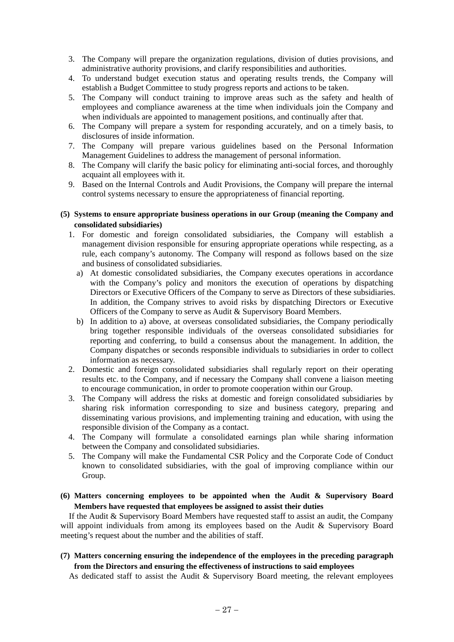3. The Company will prepare the organization regulations, division of duties provisions, and administrative authority provisions, and clarify responsibilities and authorities.

- 4. To understand budget execution status and operating results trends, the Company will establish a Budget Committee to study progress reports and actions to be taken.
- 5. The Company will conduct training to improve areas such as the safety and health of employees and compliance awareness at the time when individuals join the Company and when individuals are appointed to management positions, and continually after that.
- 6. The Company will prepare a system for responding accurately, and on a timely basis, to disclosures of inside information.
- 7. The Company will prepare various guidelines based on the Personal Information Management Guidelines to address the management of personal information.
- 8. The Company will clarify the basic policy for eliminating anti-social forces, and thoroughly acquaint all employees with it.
- 9. Based on the Internal Controls and Audit Provisions, the Company will prepare the internal control systems necessary to ensure the appropriateness of financial reporting.

### **(5) Systems to ensure appropriate business operations in our Group (meaning the Company and consolidated subsidiaries)**

- 1. For domestic and foreign consolidated subsidiaries, the Company will establish a management division responsible for ensuring appropriate operations while respecting, as a rule, each company's autonomy. The Company will respond as follows based on the size and business of consolidated subsidiaries.
	- a) At domestic consolidated subsidiaries, the Company executes operations in accordance with the Company's policy and monitors the execution of operations by dispatching Directors or Executive Officers of the Company to serve as Directors of these subsidiaries. In addition, the Company strives to avoid risks by dispatching Directors or Executive Officers of the Company to serve as Audit & Supervisory Board Members.
	- b) In addition to a) above, at overseas consolidated subsidiaries, the Company periodically bring together responsible individuals of the overseas consolidated subsidiaries for reporting and conferring, to build a consensus about the management. In addition, the Company dispatches or seconds responsible individuals to subsidiaries in order to collect information as necessary.
- 2. Domestic and foreign consolidated subsidiaries shall regularly report on their operating results etc. to the Company, and if necessary the Company shall convene a liaison meeting to encourage communication, in order to promote cooperation within our Group.
- 3. The Company will address the risks at domestic and foreign consolidated subsidiaries by sharing risk information corresponding to size and business category, preparing and disseminating various provisions, and implementing training and education, with using the responsible division of the Company as a contact.
- 4. The Company will formulate a consolidated earnings plan while sharing information between the Company and consolidated subsidiaries.
- 5. The Company will make the Fundamental CSR Policy and the Corporate Code of Conduct known to consolidated subsidiaries, with the goal of improving compliance within our Group.
- **(6) Matters concerning employees to be appointed when the Audit & Supervisory Board Members have requested that employees be assigned to assist their duties**

If the Audit  $\&$  Supervisory Board Members have requested staff to assist an audit, the Company will appoint individuals from among its employees based on the Audit & Supervisory Board meeting's request about the number and the abilities of staff.

### **(7) Matters concerning ensuring the independence of the employees in the preceding paragraph from the Directors and ensuring the effectiveness of instructions to said employees**

As dedicated staff to assist the Audit & Supervisory Board meeting, the relevant employees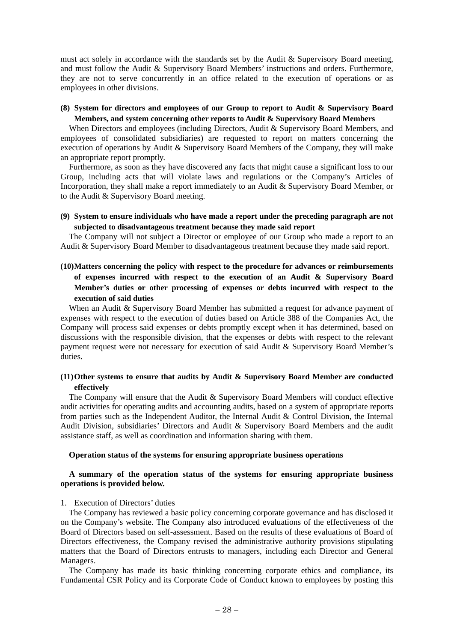must act solely in accordance with the standards set by the Audit & Supervisory Board meeting, and must follow the Audit & Supervisory Board Members' instructions and orders. Furthermore, they are not to serve concurrently in an office related to the execution of operations or as employees in other divisions.

### **(8) System for directors and employees of our Group to report to Audit & Supervisory Board Members, and system concerning other reports to Audit & Supervisory Board Members**

When Directors and employees (including Directors, Audit & Supervisory Board Members, and employees of consolidated subsidiaries) are requested to report on matters concerning the execution of operations by Audit & Supervisory Board Members of the Company, they will make an appropriate report promptly.

Furthermore, as soon as they have discovered any facts that might cause a significant loss to our Group, including acts that will violate laws and regulations or the Company's Articles of Incorporation, they shall make a report immediately to an Audit & Supervisory Board Member, or to the Audit & Supervisory Board meeting.

#### **(9) System to ensure individuals who have made a report under the preceding paragraph are not subjected to disadvantageous treatment because they made said report**

The Company will not subject a Director or employee of our Group who made a report to an Audit & Supervisory Board Member to disadvantageous treatment because they made said report.

### **(10) Matters concerning the policy with respect to the procedure for advances or reimbursements of expenses incurred with respect to the execution of an Audit & Supervisory Board Member's duties or other processing of expenses or debts incurred with respect to the execution of said duties**

When an Audit & Supervisory Board Member has submitted a request for advance payment of expenses with respect to the execution of duties based on Article 388 of the Companies Act, the Company will process said expenses or debts promptly except when it has determined, based on discussions with the responsible division, that the expenses or debts with respect to the relevant payment request were not necessary for execution of said Audit & Supervisory Board Member's duties.

### **(11) Other systems to ensure that audits by Audit & Supervisory Board Member are conducted effectively**

The Company will ensure that the Audit & Supervisory Board Members will conduct effective audit activities for operating audits and accounting audits, based on a system of appropriate reports from parties such as the Independent Auditor, the Internal Audit & Control Division, the Internal Audit Division, subsidiaries' Directors and Audit & Supervisory Board Members and the audit assistance staff, as well as coordination and information sharing with them.

#### **Operation status of the systems for ensuring appropriate business operations**

#### **A summary of the operation status of the systems for ensuring appropriate business operations is provided below.**

#### 1. Execution of Directors' duties

The Company has reviewed a basic policy concerning corporate governance and has disclosed it on the Company's website. The Company also introduced evaluations of the effectiveness of the Board of Directors based on self-assessment. Based on the results of these evaluations of Board of Directors effectiveness, the Company revised the administrative authority provisions stipulating matters that the Board of Directors entrusts to managers, including each Director and General Managers.

The Company has made its basic thinking concerning corporate ethics and compliance, its Fundamental CSR Policy and its Corporate Code of Conduct known to employees by posting this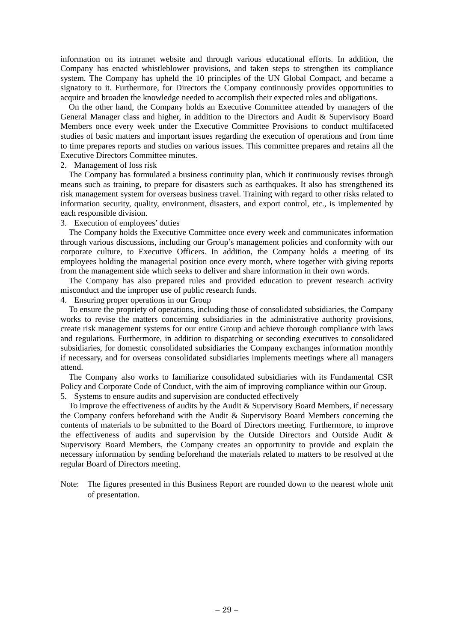information on its intranet website and through various educational efforts. In addition, the Company has enacted whistleblower provisions, and taken steps to strengthen its compliance system. The Company has upheld the 10 principles of the UN Global Compact, and became a signatory to it. Furthermore, for Directors the Company continuously provides opportunities to acquire and broaden the knowledge needed to accomplish their expected roles and obligations.

On the other hand, the Company holds an Executive Committee attended by managers of the General Manager class and higher, in addition to the Directors and Audit & Supervisory Board Members once every week under the Executive Committee Provisions to conduct multifaceted studies of basic matters and important issues regarding the execution of operations and from time to time prepares reports and studies on various issues. This committee prepares and retains all the Executive Directors Committee minutes.

### 2. Management of loss risk

The Company has formulated a business continuity plan, which it continuously revises through means such as training, to prepare for disasters such as earthquakes. It also has strengthened its risk management system for overseas business travel. Training with regard to other risks related to information security, quality, environment, disasters, and export control, etc., is implemented by each responsible division.

#### 3. Execution of employees' duties

The Company holds the Executive Committee once every week and communicates information through various discussions, including our Group's management policies and conformity with our corporate culture, to Executive Officers. In addition, the Company holds a meeting of its employees holding the managerial position once every month, where together with giving reports from the management side which seeks to deliver and share information in their own words.

The Company has also prepared rules and provided education to prevent research activity misconduct and the improper use of public research funds.

#### 4. Ensuring proper operations in our Group

To ensure the propriety of operations, including those of consolidated subsidiaries, the Company works to revise the matters concerning subsidiaries in the administrative authority provisions, create risk management systems for our entire Group and achieve thorough compliance with laws and regulations. Furthermore, in addition to dispatching or seconding executives to consolidated subsidiaries, for domestic consolidated subsidiaries the Company exchanges information monthly if necessary, and for overseas consolidated subsidiaries implements meetings where all managers attend.

The Company also works to familiarize consolidated subsidiaries with its Fundamental CSR Policy and Corporate Code of Conduct, with the aim of improving compliance within our Group. 5. Systems to ensure audits and supervision are conducted effectively

To improve the effectiveness of audits by the Audit & Supervisory Board Members, if necessary the Company confers beforehand with the Audit & Supervisory Board Members concerning the contents of materials to be submitted to the Board of Directors meeting. Furthermore, to improve the effectiveness of audits and supervision by the Outside Directors and Outside Audit & Supervisory Board Members, the Company creates an opportunity to provide and explain the necessary information by sending beforehand the materials related to matters to be resolved at the regular Board of Directors meeting.

Note: The figures presented in this Business Report are rounded down to the nearest whole unit of presentation.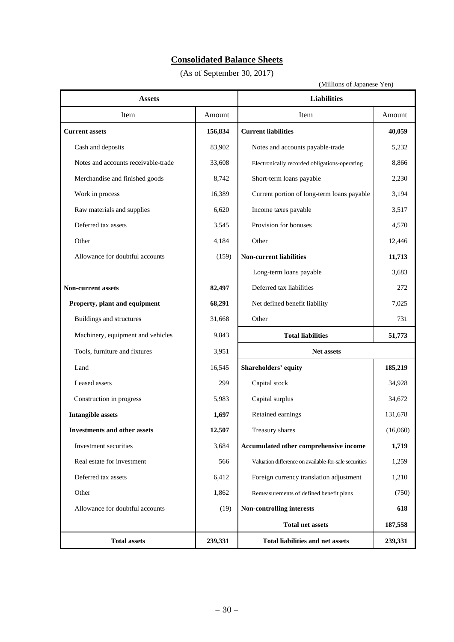# **Consolidated Balance Sheets**

(As of September 30, 2017)

T

| <b>Assets</b>                       |         | <b>Liabilities</b>                                    |          |
|-------------------------------------|---------|-------------------------------------------------------|----------|
| Item                                | Amount  | Item                                                  | Amount   |
| <b>Current assets</b>               | 156,834 | <b>Current liabilities</b>                            | 40,059   |
| Cash and deposits                   | 83,902  | Notes and accounts payable-trade                      | 5,232    |
| Notes and accounts receivable-trade | 33,608  | Electronically recorded obligations-operating         | 8,866    |
| Merchandise and finished goods      | 8,742   | Short-term loans payable                              | 2,230    |
| Work in process                     | 16,389  | Current portion of long-term loans payable            | 3,194    |
| Raw materials and supplies          | 6,620   | Income taxes payable                                  | 3,517    |
| Deferred tax assets                 | 3,545   | Provision for bonuses                                 | 4,570    |
| Other                               | 4,184   | Other                                                 | 12,446   |
| Allowance for doubtful accounts     | (159)   | <b>Non-current liabilities</b>                        | 11,713   |
|                                     |         | Long-term loans payable                               | 3,683    |
| Non-current assets                  | 82,497  | Deferred tax liabilities                              | 272      |
| Property, plant and equipment       | 68,291  | Net defined benefit liability                         | 7,025    |
| Buildings and structures            | 31,668  | Other                                                 | 731      |
| Machinery, equipment and vehicles   | 9,843   | <b>Total liabilities</b>                              | 51,773   |
| Tools, furniture and fixtures       | 3,951   | Net assets                                            |          |
| Land                                | 16,545  | Shareholders' equity                                  | 185,219  |
| Leased assets                       | 299     | Capital stock                                         | 34,928   |
| Construction in progress            | 5,983   | Capital surplus                                       | 34,672   |
| <b>Intangible assets</b>            | 1,697   | Retained earnings                                     | 131,678  |
| <b>Investments and other assets</b> | 12,507  | Treasury shares                                       | (16,060) |
| Investment securities               | 3,684   | Accumulated other comprehensive income                | 1,719    |
| Real estate for investment          | 566     | Valuation difference on available-for-sale securities | 1,259    |
| Deferred tax assets                 | 6,412   | Foreign currency translation adjustment               | 1,210    |
| Other                               | 1,862   | Remeasurements of defined benefit plans               | (750)    |
| Allowance for doubtful accounts     | (19)    | <b>Non-controlling interests</b>                      | 618      |
|                                     |         | <b>Total net assets</b>                               | 187,558  |
| <b>Total assets</b>                 | 239,331 | Total liabilities and net assets                      | 239,331  |

۰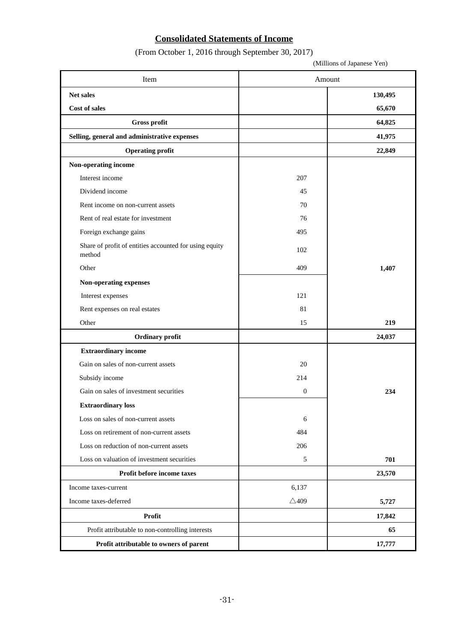# **Consolidated Statements of Income**

(From October 1, 2016 through September 30, 2017)

(Millions of Japanese Yen)

| Item                                                             | Amount          |         |
|------------------------------------------------------------------|-----------------|---------|
| Net sales                                                        |                 | 130,495 |
| Cost of sales                                                    |                 | 65,670  |
| Gross profit                                                     |                 | 64,825  |
| Selling, general and administrative expenses                     |                 | 41,975  |
| <b>Operating profit</b>                                          |                 | 22,849  |
| Non-operating income                                             |                 |         |
| Interest income                                                  | 207             |         |
| Dividend income                                                  | 45              |         |
| Rent income on non-current assets                                | 70              |         |
| Rent of real estate for investment                               | 76              |         |
| Foreign exchange gains                                           | 495             |         |
| Share of profit of entities accounted for using equity<br>method | 102             |         |
| Other                                                            | 409             | 1,407   |
| Non-operating expenses                                           |                 |         |
| Interest expenses                                                | 121             |         |
| Rent expenses on real estates                                    | 81              |         |
| Other                                                            | 15              | 219     |
| Ordinary profit                                                  |                 | 24,037  |
| <b>Extraordinary income</b>                                      |                 |         |
| Gain on sales of non-current assets                              | 20              |         |
| Subsidy income                                                   | 214             |         |
| Gain on sales of investment securities                           | $\mathbf{0}$    | 234     |
| <b>Extraordinary loss</b>                                        |                 |         |
| Loss on sales of non-current assets                              | 6               |         |
| Loss on retirement of non-current assets                         | 484             |         |
| Loss on reduction of non-current assets                          | 206             |         |
| Loss on valuation of investment securities                       | $\sqrt{5}$      | 701     |
| Profit before income taxes                                       |                 | 23,570  |
| Income taxes-current                                             | 6,137           |         |
| Income taxes-deferred                                            | $\triangle$ 409 | 5,727   |
| Profit                                                           |                 | 17,842  |
| Profit attributable to non-controlling interests                 |                 | 65      |
| Profit attributable to owners of parent                          |                 | 17,777  |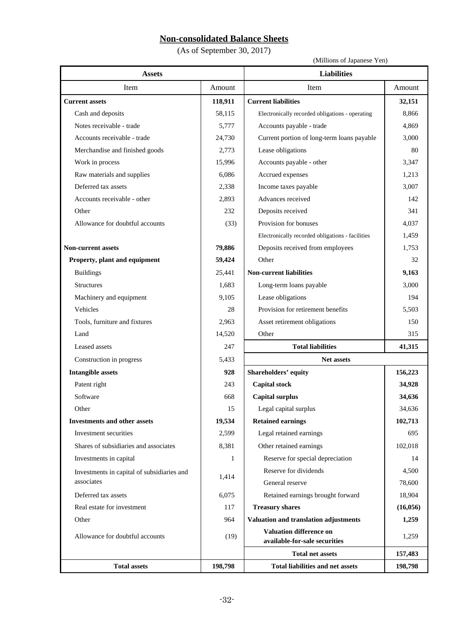# **Non-consolidated Balance Sheets**

(As of September 30, 2017)

(Millions of Japanese Yen)

| <b>Assets</b>                              |         | <b>Liabilities</b>                               |          |
|--------------------------------------------|---------|--------------------------------------------------|----------|
| Item                                       | Amount  | Item                                             | Amount   |
| <b>Current assets</b>                      | 118,911 | <b>Current liabilities</b>                       | 32,151   |
| Cash and deposits                          | 58,115  | Electronically recorded obligations - operating  | 8,866    |
| Notes receivable - trade                   | 5,777   | Accounts payable - trade                         | 4,869    |
| Accounts receivable - trade                | 24,730  | Current portion of long-term loans payable       | 3,000    |
| Merchandise and finished goods             | 2,773   | Lease obligations                                | 80       |
| Work in process                            | 15,996  | Accounts payable - other                         | 3,347    |
| Raw materials and supplies                 | 6,086   | Accrued expenses                                 | 1,213    |
| Deferred tax assets                        | 2,338   | Income taxes payable                             | 3,007    |
| Accounts receivable - other                | 2,893   | Advances received                                | 142      |
| Other                                      | 232     | Deposits received                                | 341      |
| Allowance for doubtful accounts            | (33)    | Provision for bonuses                            | 4,037    |
|                                            |         | Electronically recorded obligations - facilities | 1,459    |
| <b>Non-current assets</b>                  | 79,886  | Deposits received from employees                 | 1,753    |
| Property, plant and equipment              | 59,424  | Other                                            | 32       |
| <b>Buildings</b>                           | 25,441  | <b>Non-current liabilities</b>                   | 9,163    |
| <b>Structures</b>                          | 1,683   | Long-term loans payable                          | 3,000    |
| Machinery and equipment                    | 9,105   | Lease obligations                                | 194      |
| Vehicles                                   | 28      | Provision for retirement benefits                | 5,503    |
| Tools, furniture and fixtures              | 2,963   | Asset retirement obligations                     | 150      |
| Land                                       | 14,520  | Other                                            | 315      |
| Leased assets                              | 247     | <b>Total liabilities</b>                         | 41,315   |
| Construction in progress                   | 5,433   | <b>Net assets</b>                                |          |
| <b>Intangible assets</b>                   | 928     | <b>Shareholders' equity</b>                      | 156,223  |
| Patent right                               | 243     | <b>Capital stock</b>                             | 34,928   |
| Software                                   | 668     | <b>Capital surplus</b>                           | 34,636   |
| Other                                      | 15      | Legal capital surplus                            | 34,636   |
| <b>Investments and other assets</b>        | 19,534  | <b>Retained earnings</b>                         | 102,713  |
| Investment securities                      | 2,599   | Legal retained earnings                          | 695      |
| Shares of subsidiaries and associates      | 8,381   | Other retained earnings                          | 102,018  |
| Investments in capital                     | 1       | Reserve for special depreciation                 | 14       |
| Investments in capital of subsidiaries and |         | Reserve for dividends                            | 4,500    |
| associates                                 | 1,414   | General reserve                                  | 78,600   |
| Deferred tax assets                        | 6,075   | Retained earnings brought forward                | 18,904   |
| Real estate for investment                 | 117     | <b>Treasury shares</b>                           | (16,056) |
| Other                                      | 964     | Valuation and translation adjustments            | 1,259    |
| Allowance for doubtful accounts            |         | <b>Valuation difference on</b>                   | 1,259    |
|                                            | (19)    | available-for-sale securities                    |          |
|                                            |         | <b>Total net assets</b>                          | 157,483  |
| <b>Total assets</b>                        | 198,798 | <b>Total liabilities and net assets</b>          | 198,798  |